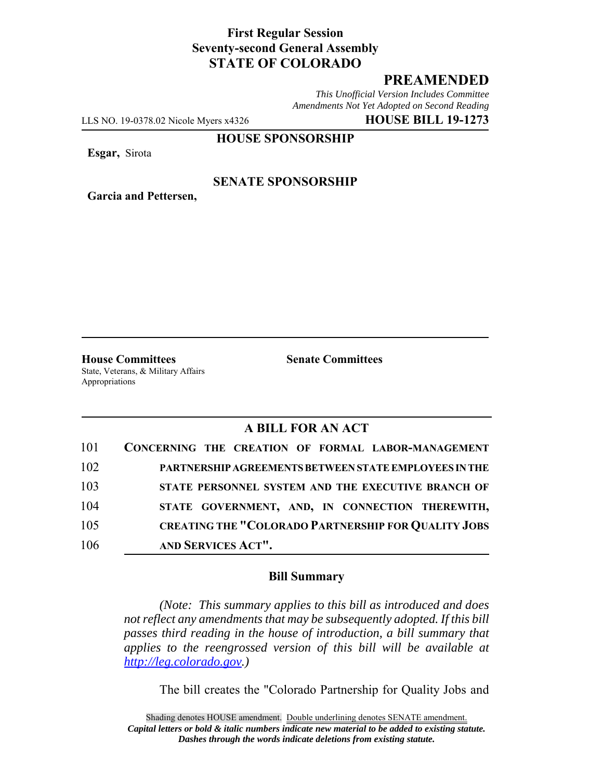## **First Regular Session Seventy-second General Assembly STATE OF COLORADO**

# **PREAMENDED**

*This Unofficial Version Includes Committee Amendments Not Yet Adopted on Second Reading*

LLS NO. 19-0378.02 Nicole Myers x4326 **HOUSE BILL 19-1273**

**HOUSE SPONSORSHIP**

**Esgar,** Sirota

#### **SENATE SPONSORSHIP**

**Garcia and Pettersen,**

**House Committees Senate Committees** State, Veterans, & Military Affairs Appropriations

### **A BILL FOR AN ACT**

| 101 | CONCERNING THE CREATION OF FORMAL LABOR-MANAGEMENT         |
|-----|------------------------------------------------------------|
| 102 | PARTNERSHIP AGREEMENTS BETWEEN STATE EMPLOYEES IN THE      |
| 103 | STATE PERSONNEL SYSTEM AND THE EXECUTIVE BRANCH OF         |
| 104 | STATE GOVERNMENT, AND, IN CONNECTION THEREWITH,            |
| 105 | <b>CREATING THE "COLORADO PARTNERSHIP FOR QUALITY JOBS</b> |
| 106 | AND SERVICES ACT".                                         |

### **Bill Summary**

*(Note: This summary applies to this bill as introduced and does not reflect any amendments that may be subsequently adopted. If this bill passes third reading in the house of introduction, a bill summary that applies to the reengrossed version of this bill will be available at http://leg.colorado.gov.)*

The bill creates the "Colorado Partnership for Quality Jobs and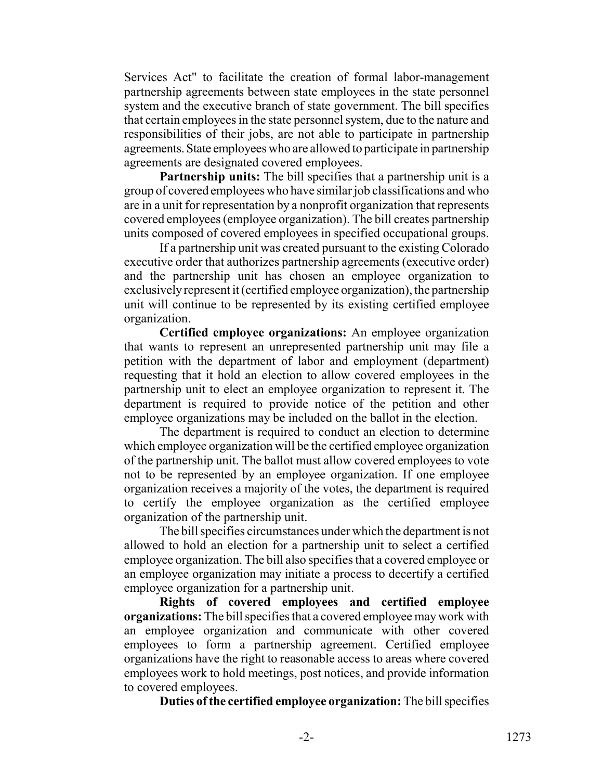Services Act" to facilitate the creation of formal labor-management partnership agreements between state employees in the state personnel system and the executive branch of state government. The bill specifies that certain employees in the state personnel system, due to the nature and responsibilities of their jobs, are not able to participate in partnership agreements. State employees who are allowed to participate in partnership agreements are designated covered employees.

**Partnership units:** The bill specifies that a partnership unit is a group of covered employees who have similar job classifications and who are in a unit for representation by a nonprofit organization that represents covered employees (employee organization). The bill creates partnership units composed of covered employees in specified occupational groups.

If a partnership unit was created pursuant to the existing Colorado executive order that authorizes partnership agreements (executive order) and the partnership unit has chosen an employee organization to exclusively represent it (certified employee organization), the partnership unit will continue to be represented by its existing certified employee organization.

**Certified employee organizations:** An employee organization that wants to represent an unrepresented partnership unit may file a petition with the department of labor and employment (department) requesting that it hold an election to allow covered employees in the partnership unit to elect an employee organization to represent it. The department is required to provide notice of the petition and other employee organizations may be included on the ballot in the election.

The department is required to conduct an election to determine which employee organization will be the certified employee organization of the partnership unit. The ballot must allow covered employees to vote not to be represented by an employee organization. If one employee organization receives a majority of the votes, the department is required to certify the employee organization as the certified employee organization of the partnership unit.

The bill specifies circumstances under which the department is not allowed to hold an election for a partnership unit to select a certified employee organization. The bill also specifies that a covered employee or an employee organization may initiate a process to decertify a certified employee organization for a partnership unit.

**Rights of covered employees and certified employee organizations:** The bill specifies that a covered employee may work with an employee organization and communicate with other covered employees to form a partnership agreement. Certified employee organizations have the right to reasonable access to areas where covered employees work to hold meetings, post notices, and provide information to covered employees.

**Duties of the certified employee organization:** The bill specifies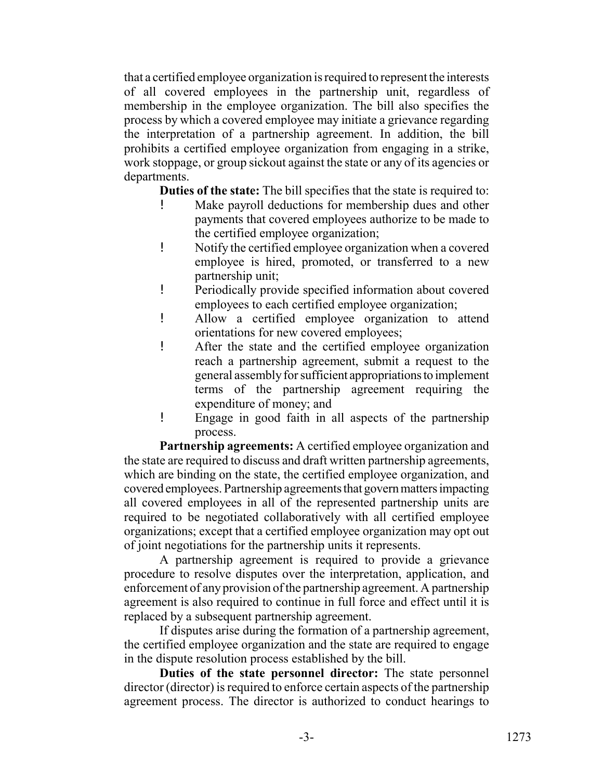that a certified employee organization is required to represent the interests of all covered employees in the partnership unit, regardless of membership in the employee organization. The bill also specifies the process by which a covered employee may initiate a grievance regarding the interpretation of a partnership agreement. In addition, the bill prohibits a certified employee organization from engaging in a strike, work stoppage, or group sickout against the state or any of its agencies or departments.

**Duties of the state:** The bill specifies that the state is required to:

- ! Make payroll deductions for membership dues and other payments that covered employees authorize to be made to the certified employee organization;
- ! Notify the certified employee organization when a covered employee is hired, promoted, or transferred to a new partnership unit;
- ! Periodically provide specified information about covered employees to each certified employee organization;
- ! Allow a certified employee organization to attend orientations for new covered employees;
- ! After the state and the certified employee organization reach a partnership agreement, submit a request to the general assembly for sufficient appropriations to implement terms of the partnership agreement requiring the expenditure of money; and
- ! Engage in good faith in all aspects of the partnership process.

**Partnership agreements:** A certified employee organization and the state are required to discuss and draft written partnership agreements, which are binding on the state, the certified employee organization, and covered employees. Partnership agreements that govern matters impacting all covered employees in all of the represented partnership units are required to be negotiated collaboratively with all certified employee organizations; except that a certified employee organization may opt out of joint negotiations for the partnership units it represents.

A partnership agreement is required to provide a grievance procedure to resolve disputes over the interpretation, application, and enforcement of any provision of the partnership agreement. A partnership agreement is also required to continue in full force and effect until it is replaced by a subsequent partnership agreement.

If disputes arise during the formation of a partnership agreement, the certified employee organization and the state are required to engage in the dispute resolution process established by the bill.

**Duties of the state personnel director:** The state personnel director (director) is required to enforce certain aspects of the partnership agreement process. The director is authorized to conduct hearings to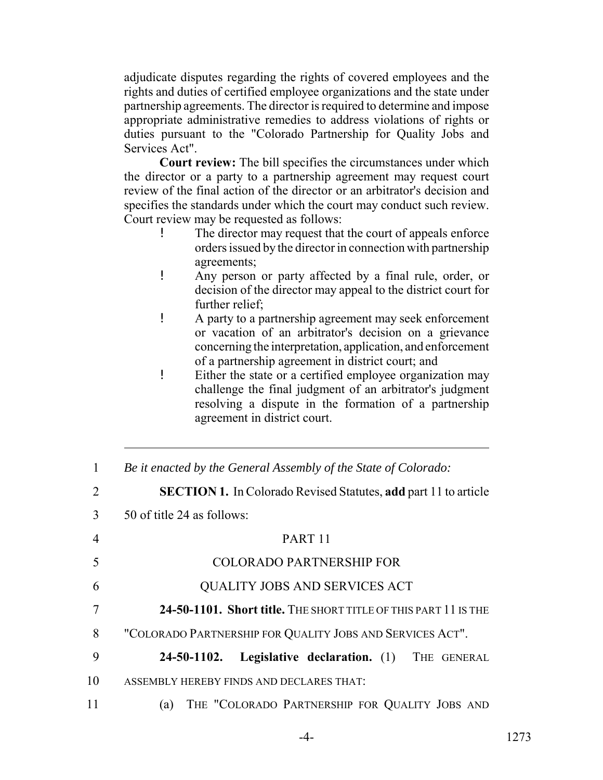adjudicate disputes regarding the rights of covered employees and the rights and duties of certified employee organizations and the state under partnership agreements. The director is required to determine and impose appropriate administrative remedies to address violations of rights or duties pursuant to the "Colorado Partnership for Quality Jobs and Services Act".

**Court review:** The bill specifies the circumstances under which the director or a party to a partnership agreement may request court review of the final action of the director or an arbitrator's decision and specifies the standards under which the court may conduct such review. Court review may be requested as follows:

- The director may request that the court of appeals enforce orders issued by the director in connection with partnership agreements;
- ! Any person or party affected by a final rule, order, or decision of the director may appeal to the district court for further relief;
- ! A party to a partnership agreement may seek enforcement or vacation of an arbitrator's decision on a grievance concerning the interpretation, application, and enforcement of a partnership agreement in district court; and
- ! Either the state or a certified employee organization may challenge the final judgment of an arbitrator's judgment resolving a dispute in the formation of a partnership agreement in district court.

| $\mathbf{1}$ | Be it enacted by the General Assembly of the State of Colorado:        |
|--------------|------------------------------------------------------------------------|
| 2            | <b>SECTION 1.</b> In Colorado Revised Statutes, add part 11 to article |
| 3            | 50 of title 24 as follows:                                             |
| 4            | PART <sub>11</sub>                                                     |
| 5            | <b>COLORADO PARTNERSHIP FOR</b>                                        |
| 6            | QUALITY JOBS AND SERVICES ACT                                          |
| 7            | 24-50-1101. Short title. THE SHORT TITLE OF THIS PART 11 IS THE        |
| 8            | "COLORADO PARTNERSHIP FOR QUALITY JOBS AND SERVICES ACT".              |
| 9            | Legislative declaration. (1) THE GENERAL<br>24-50-1102.                |
| 10           | ASSEMBLY HEREBY FINDS AND DECLARES THAT:                               |
| 11           | THE "COLORADO PARTNERSHIP FOR QUALITY JOBS AND<br>(a)                  |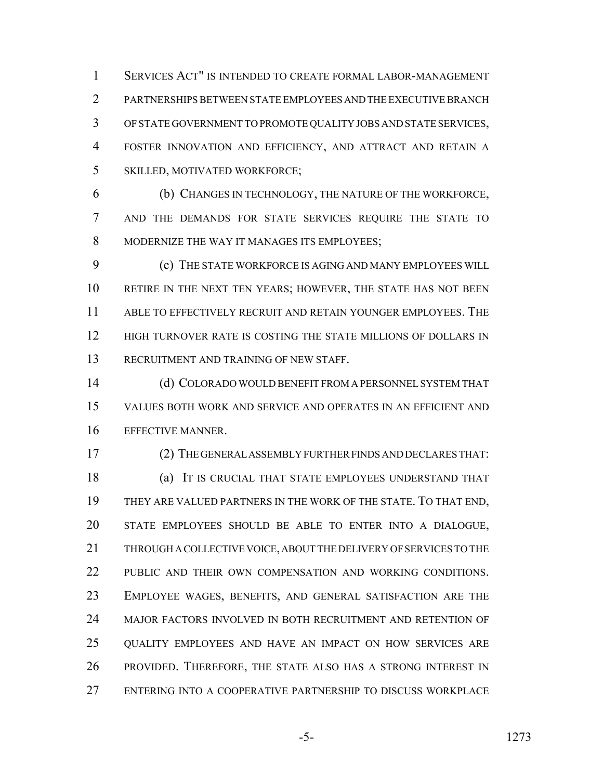SERVICES ACT" IS INTENDED TO CREATE FORMAL LABOR-MANAGEMENT PARTNERSHIPS BETWEEN STATE EMPLOYEES AND THE EXECUTIVE BRANCH OF STATE GOVERNMENT TO PROMOTE QUALITY JOBS AND STATE SERVICES, FOSTER INNOVATION AND EFFICIENCY, AND ATTRACT AND RETAIN A SKILLED, MOTIVATED WORKFORCE;

 (b) CHANGES IN TECHNOLOGY, THE NATURE OF THE WORKFORCE, AND THE DEMANDS FOR STATE SERVICES REQUIRE THE STATE TO MODERNIZE THE WAY IT MANAGES ITS EMPLOYEES;

 (c) THE STATE WORKFORCE IS AGING AND MANY EMPLOYEES WILL RETIRE IN THE NEXT TEN YEARS; HOWEVER, THE STATE HAS NOT BEEN ABLE TO EFFECTIVELY RECRUIT AND RETAIN YOUNGER EMPLOYEES. THE HIGH TURNOVER RATE IS COSTING THE STATE MILLIONS OF DOLLARS IN RECRUITMENT AND TRAINING OF NEW STAFF.

 (d) COLORADO WOULD BENEFIT FROM A PERSONNEL SYSTEM THAT VALUES BOTH WORK AND SERVICE AND OPERATES IN AN EFFICIENT AND EFFECTIVE MANNER.

(2) THE GENERAL ASSEMBLY FURTHER FINDS AND DECLARES THAT:

 (a) IT IS CRUCIAL THAT STATE EMPLOYEES UNDERSTAND THAT THEY ARE VALUED PARTNERS IN THE WORK OF THE STATE. TO THAT END, STATE EMPLOYEES SHOULD BE ABLE TO ENTER INTO A DIALOGUE, THROUGH A COLLECTIVE VOICE, ABOUT THE DELIVERY OF SERVICES TO THE 22 PUBLIC AND THEIR OWN COMPENSATION AND WORKING CONDITIONS. EMPLOYEE WAGES, BENEFITS, AND GENERAL SATISFACTION ARE THE MAJOR FACTORS INVOLVED IN BOTH RECRUITMENT AND RETENTION OF QUALITY EMPLOYEES AND HAVE AN IMPACT ON HOW SERVICES ARE PROVIDED. THEREFORE, THE STATE ALSO HAS A STRONG INTEREST IN ENTERING INTO A COOPERATIVE PARTNERSHIP TO DISCUSS WORKPLACE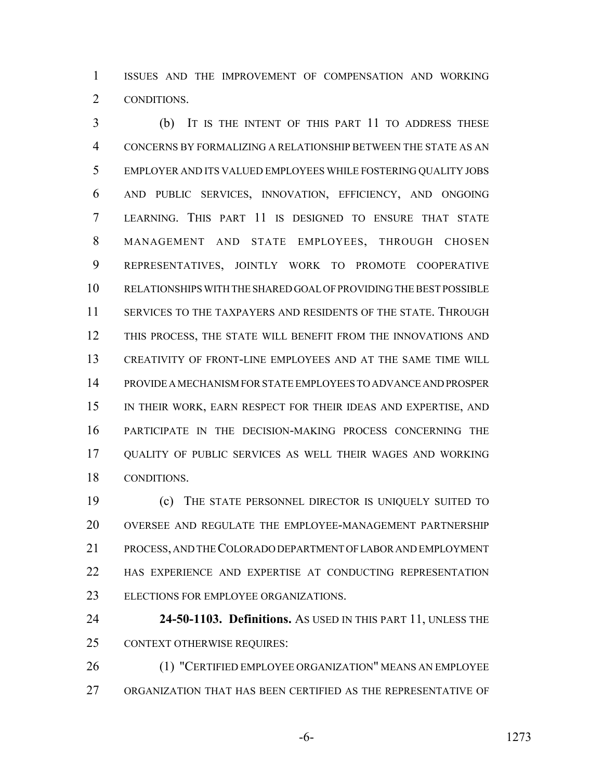ISSUES AND THE IMPROVEMENT OF COMPENSATION AND WORKING CONDITIONS.

 (b) IT IS THE INTENT OF THIS PART 11 TO ADDRESS THESE CONCERNS BY FORMALIZING A RELATIONSHIP BETWEEN THE STATE AS AN EMPLOYER AND ITS VALUED EMPLOYEES WHILE FOSTERING QUALITY JOBS AND PUBLIC SERVICES, INNOVATION, EFFICIENCY, AND ONGOING LEARNING. THIS PART 11 IS DESIGNED TO ENSURE THAT STATE MANAGEMENT AND STATE EMPLOYEES, THROUGH CHOSEN REPRESENTATIVES, JOINTLY WORK TO PROMOTE COOPERATIVE RELATIONSHIPS WITH THE SHARED GOAL OF PROVIDING THE BEST POSSIBLE SERVICES TO THE TAXPAYERS AND RESIDENTS OF THE STATE. THROUGH THIS PROCESS, THE STATE WILL BENEFIT FROM THE INNOVATIONS AND CREATIVITY OF FRONT-LINE EMPLOYEES AND AT THE SAME TIME WILL PROVIDE A MECHANISM FOR STATE EMPLOYEES TO ADVANCE AND PROSPER IN THEIR WORK, EARN RESPECT FOR THEIR IDEAS AND EXPERTISE, AND PARTICIPATE IN THE DECISION-MAKING PROCESS CONCERNING THE QUALITY OF PUBLIC SERVICES AS WELL THEIR WAGES AND WORKING CONDITIONS.

 (c) THE STATE PERSONNEL DIRECTOR IS UNIQUELY SUITED TO OVERSEE AND REGULATE THE EMPLOYEE-MANAGEMENT PARTNERSHIP PROCESS, AND THE COLORADO DEPARTMENT OF LABOR AND EMPLOYMENT HAS EXPERIENCE AND EXPERTISE AT CONDUCTING REPRESENTATION ELECTIONS FOR EMPLOYEE ORGANIZATIONS.

 **24-50-1103. Definitions.** AS USED IN THIS PART 11, UNLESS THE CONTEXT OTHERWISE REQUIRES:

 (1) "CERTIFIED EMPLOYEE ORGANIZATION" MEANS AN EMPLOYEE ORGANIZATION THAT HAS BEEN CERTIFIED AS THE REPRESENTATIVE OF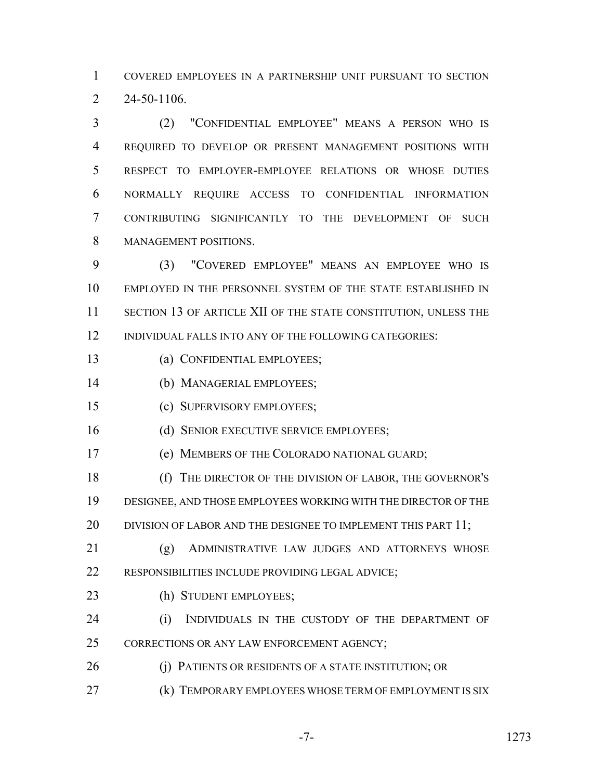COVERED EMPLOYEES IN A PARTNERSHIP UNIT PURSUANT TO SECTION 24-50-1106.

 (2) "CONFIDENTIAL EMPLOYEE" MEANS A PERSON WHO IS REQUIRED TO DEVELOP OR PRESENT MANAGEMENT POSITIONS WITH RESPECT TO EMPLOYER-EMPLOYEE RELATIONS OR WHOSE DUTIES NORMALLY REQUIRE ACCESS TO CONFIDENTIAL INFORMATION CONTRIBUTING SIGNIFICANTLY TO THE DEVELOPMENT OF SUCH MANAGEMENT POSITIONS.

 (3) "COVERED EMPLOYEE" MEANS AN EMPLOYEE WHO IS EMPLOYED IN THE PERSONNEL SYSTEM OF THE STATE ESTABLISHED IN 11 SECTION 13 OF ARTICLE XII OF THE STATE CONSTITUTION, UNLESS THE INDIVIDUAL FALLS INTO ANY OF THE FOLLOWING CATEGORIES:

- (a) CONFIDENTIAL EMPLOYEES;
- (b) MANAGERIAL EMPLOYEES;
- (c) SUPERVISORY EMPLOYEES;
- 16 (d) SENIOR EXECUTIVE SERVICE EMPLOYEES;
- (e) MEMBERS OF THE COLORADO NATIONAL GUARD;
- (f) THE DIRECTOR OF THE DIVISION OF LABOR, THE GOVERNOR'S DESIGNEE, AND THOSE EMPLOYEES WORKING WITH THE DIRECTOR OF THE 20 DIVISION OF LABOR AND THE DESIGNEE TO IMPLEMENT THIS PART 11;
- (g) ADMINISTRATIVE LAW JUDGES AND ATTORNEYS WHOSE RESPONSIBILITIES INCLUDE PROVIDING LEGAL ADVICE;
- 23 (h) STUDENT EMPLOYEES;
- (i) INDIVIDUALS IN THE CUSTODY OF THE DEPARTMENT OF 25 CORRECTIONS OR ANY LAW ENFORCEMENT AGENCY;
- 26 (i) PATIENTS OR RESIDENTS OF A STATE INSTITUTION; OR
- **(k) TEMPORARY EMPLOYEES WHOSE TERM OF EMPLOYMENT IS SIX**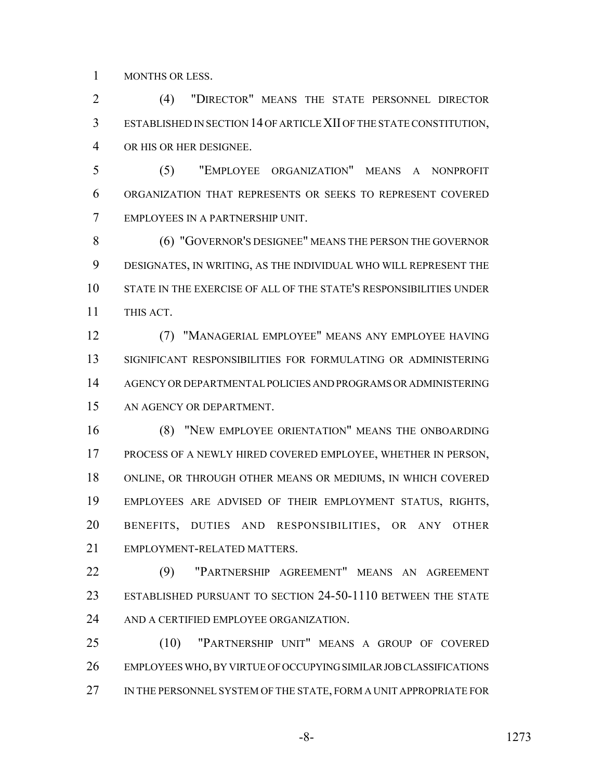MONTHS OR LESS.

 (4) "DIRECTOR" MEANS THE STATE PERSONNEL DIRECTOR ESTABLISHED IN SECTION 14 OF ARTICLE XII OF THE STATE CONSTITUTION, OR HIS OR HER DESIGNEE.

 (5) "EMPLOYEE ORGANIZATION" MEANS A NONPROFIT ORGANIZATION THAT REPRESENTS OR SEEKS TO REPRESENT COVERED EMPLOYEES IN A PARTNERSHIP UNIT.

 (6) "GOVERNOR'S DESIGNEE" MEANS THE PERSON THE GOVERNOR DESIGNATES, IN WRITING, AS THE INDIVIDUAL WHO WILL REPRESENT THE STATE IN THE EXERCISE OF ALL OF THE STATE'S RESPONSIBILITIES UNDER THIS ACT.

 (7) "MANAGERIAL EMPLOYEE" MEANS ANY EMPLOYEE HAVING SIGNIFICANT RESPONSIBILITIES FOR FORMULATING OR ADMINISTERING AGENCY OR DEPARTMENTAL POLICIES AND PROGRAMS OR ADMINISTERING AN AGENCY OR DEPARTMENT.

 (8) "NEW EMPLOYEE ORIENTATION" MEANS THE ONBOARDING PROCESS OF A NEWLY HIRED COVERED EMPLOYEE, WHETHER IN PERSON, ONLINE, OR THROUGH OTHER MEANS OR MEDIUMS, IN WHICH COVERED EMPLOYEES ARE ADVISED OF THEIR EMPLOYMENT STATUS, RIGHTS, BENEFITS, DUTIES AND RESPONSIBILITIES, OR ANY OTHER EMPLOYMENT-RELATED MATTERS.

 (9) "PARTNERSHIP AGREEMENT" MEANS AN AGREEMENT ESTABLISHED PURSUANT TO SECTION 24-50-1110 BETWEEN THE STATE AND A CERTIFIED EMPLOYEE ORGANIZATION.

 (10) "PARTNERSHIP UNIT" MEANS A GROUP OF COVERED EMPLOYEES WHO, BY VIRTUE OF OCCUPYING SIMILAR JOB CLASSIFICATIONS 27 IN THE PERSONNEL SYSTEM OF THE STATE, FORM A UNIT APPROPRIATE FOR

-8- 1273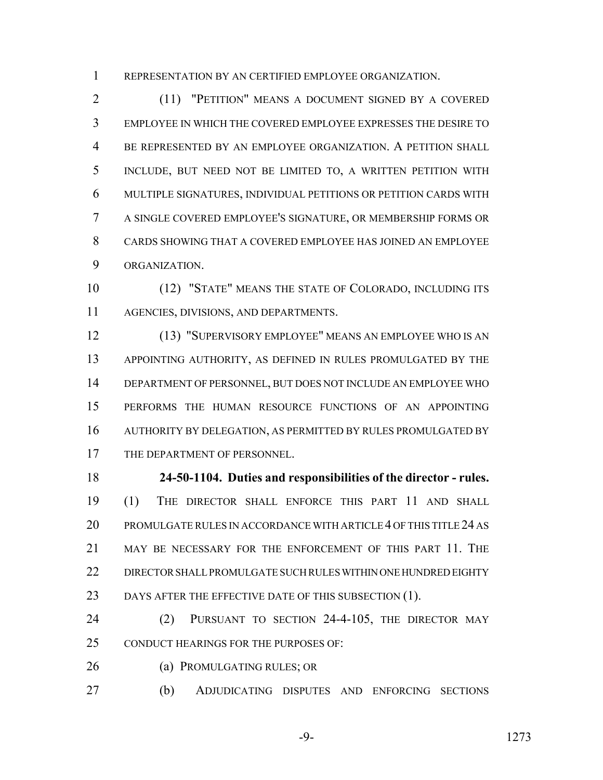REPRESENTATION BY AN CERTIFIED EMPLOYEE ORGANIZATION.

 (11) "PETITION" MEANS A DOCUMENT SIGNED BY A COVERED EMPLOYEE IN WHICH THE COVERED EMPLOYEE EXPRESSES THE DESIRE TO BE REPRESENTED BY AN EMPLOYEE ORGANIZATION. A PETITION SHALL INCLUDE, BUT NEED NOT BE LIMITED TO, A WRITTEN PETITION WITH MULTIPLE SIGNATURES, INDIVIDUAL PETITIONS OR PETITION CARDS WITH A SINGLE COVERED EMPLOYEE'S SIGNATURE, OR MEMBERSHIP FORMS OR CARDS SHOWING THAT A COVERED EMPLOYEE HAS JOINED AN EMPLOYEE ORGANIZATION.

 (12) "STATE" MEANS THE STATE OF COLORADO, INCLUDING ITS AGENCIES, DIVISIONS, AND DEPARTMENTS.

 (13) "SUPERVISORY EMPLOYEE" MEANS AN EMPLOYEE WHO IS AN APPOINTING AUTHORITY, AS DEFINED IN RULES PROMULGATED BY THE DEPARTMENT OF PERSONNEL, BUT DOES NOT INCLUDE AN EMPLOYEE WHO PERFORMS THE HUMAN RESOURCE FUNCTIONS OF AN APPOINTING AUTHORITY BY DELEGATION, AS PERMITTED BY RULES PROMULGATED BY 17 THE DEPARTMENT OF PERSONNEL.

 **24-50-1104. Duties and responsibilities of the director - rules.** (1) THE DIRECTOR SHALL ENFORCE THIS PART 11 AND SHALL PROMULGATE RULES IN ACCORDANCE WITH ARTICLE 4 OF THIS TITLE 24 AS MAY BE NECESSARY FOR THE ENFORCEMENT OF THIS PART 11. THE DIRECTOR SHALL PROMULGATE SUCH RULES WITHIN ONE HUNDRED EIGHTY 23 DAYS AFTER THE EFFECTIVE DATE OF THIS SUBSECTION (1).

 (2) PURSUANT TO SECTION 24-4-105, THE DIRECTOR MAY CONDUCT HEARINGS FOR THE PURPOSES OF:

26 (a) PROMULGATING RULES; OR

(b) ADJUDICATING DISPUTES AND ENFORCING SECTIONS

-9- 1273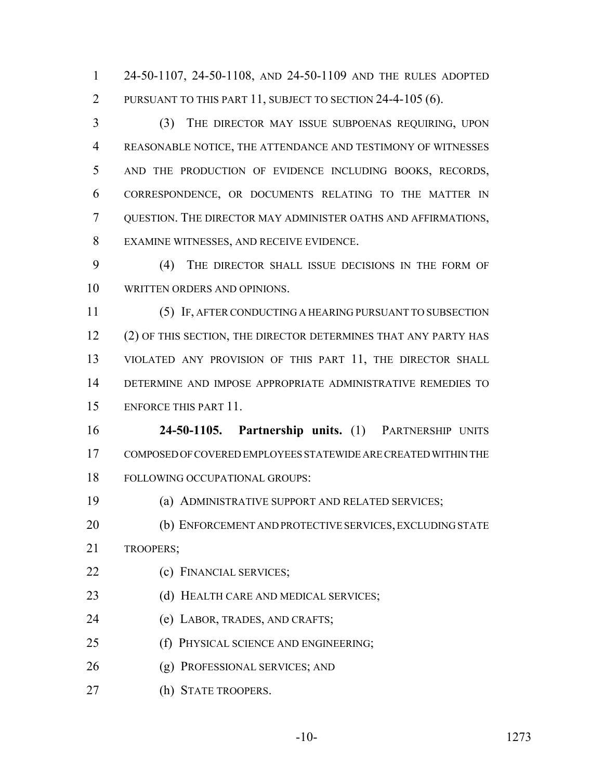24-50-1107, 24-50-1108, AND 24-50-1109 AND THE RULES ADOPTED PURSUANT TO THIS PART 11, SUBJECT TO SECTION 24-4-105 (6).

 (3) THE DIRECTOR MAY ISSUE SUBPOENAS REQUIRING, UPON REASONABLE NOTICE, THE ATTENDANCE AND TESTIMONY OF WITNESSES AND THE PRODUCTION OF EVIDENCE INCLUDING BOOKS, RECORDS, CORRESPONDENCE, OR DOCUMENTS RELATING TO THE MATTER IN QUESTION. THE DIRECTOR MAY ADMINISTER OATHS AND AFFIRMATIONS, EXAMINE WITNESSES, AND RECEIVE EVIDENCE.

 (4) THE DIRECTOR SHALL ISSUE DECISIONS IN THE FORM OF WRITTEN ORDERS AND OPINIONS.

 (5) IF, AFTER CONDUCTING A HEARING PURSUANT TO SUBSECTION 12 (2) OF THIS SECTION, THE DIRECTOR DETERMINES THAT ANY PARTY HAS 13 VIOLATED ANY PROVISION OF THIS PART 11, THE DIRECTOR SHALL DETERMINE AND IMPOSE APPROPRIATE ADMINISTRATIVE REMEDIES TO ENFORCE THIS PART 11.

 **24-50-1105. Partnership units.** (1) PARTNERSHIP UNITS COMPOSED OF COVERED EMPLOYEES STATEWIDE ARE CREATED WITHIN THE FOLLOWING OCCUPATIONAL GROUPS:

(a) ADMINISTRATIVE SUPPORT AND RELATED SERVICES;

 (b) ENFORCEMENT AND PROTECTIVE SERVICES, EXCLUDING STATE TROOPERS;

- (c) FINANCIAL SERVICES;
- 23 (d) HEALTH CARE AND MEDICAL SERVICES;
- (e) LABOR, TRADES, AND CRAFTS;
- (f) PHYSICAL SCIENCE AND ENGINEERING;
- (g) PROFESSIONAL SERVICES; AND
- (h) STATE TROOPERS.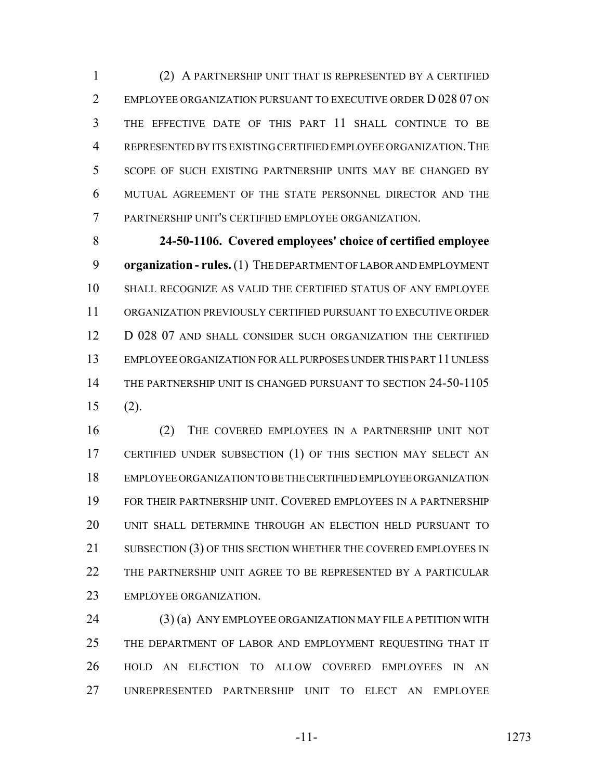(2) A PARTNERSHIP UNIT THAT IS REPRESENTED BY A CERTIFIED EMPLOYEE ORGANIZATION PURSUANT TO EXECUTIVE ORDER D 028 07 ON THE EFFECTIVE DATE OF THIS PART 11 SHALL CONTINUE TO BE REPRESENTED BY ITS EXISTING CERTIFIED EMPLOYEE ORGANIZATION.THE SCOPE OF SUCH EXISTING PARTNERSHIP UNITS MAY BE CHANGED BY MUTUAL AGREEMENT OF THE STATE PERSONNEL DIRECTOR AND THE PARTNERSHIP UNIT'S CERTIFIED EMPLOYEE ORGANIZATION.

 **24-50-1106. Covered employees' choice of certified employee organization - rules.** (1) THE DEPARTMENT OF LABOR AND EMPLOYMENT SHALL RECOGNIZE AS VALID THE CERTIFIED STATUS OF ANY EMPLOYEE ORGANIZATION PREVIOUSLY CERTIFIED PURSUANT TO EXECUTIVE ORDER 12 D 028 07 AND SHALL CONSIDER SUCH ORGANIZATION THE CERTIFIED EMPLOYEE ORGANIZATION FOR ALL PURPOSES UNDER THIS PART 11 UNLESS THE PARTNERSHIP UNIT IS CHANGED PURSUANT TO SECTION 24-50-1105 (2).

 (2) THE COVERED EMPLOYEES IN A PARTNERSHIP UNIT NOT CERTIFIED UNDER SUBSECTION (1) OF THIS SECTION MAY SELECT AN EMPLOYEE ORGANIZATION TO BE THE CERTIFIED EMPLOYEE ORGANIZATION FOR THEIR PARTNERSHIP UNIT. COVERED EMPLOYEES IN A PARTNERSHIP UNIT SHALL DETERMINE THROUGH AN ELECTION HELD PURSUANT TO 21 SUBSECTION (3) OF THIS SECTION WHETHER THE COVERED EMPLOYEES IN THE PARTNERSHIP UNIT AGREE TO BE REPRESENTED BY A PARTICULAR EMPLOYEE ORGANIZATION.

24 (3) (a) ANY EMPLOYEE ORGANIZATION MAY FILE A PETITION WITH 25 THE DEPARTMENT OF LABOR AND EMPLOYMENT REQUESTING THAT IT HOLD AN ELECTION TO ALLOW COVERED EMPLOYEES IN AN UNREPRESENTED PARTNERSHIP UNIT TO ELECT AN EMPLOYEE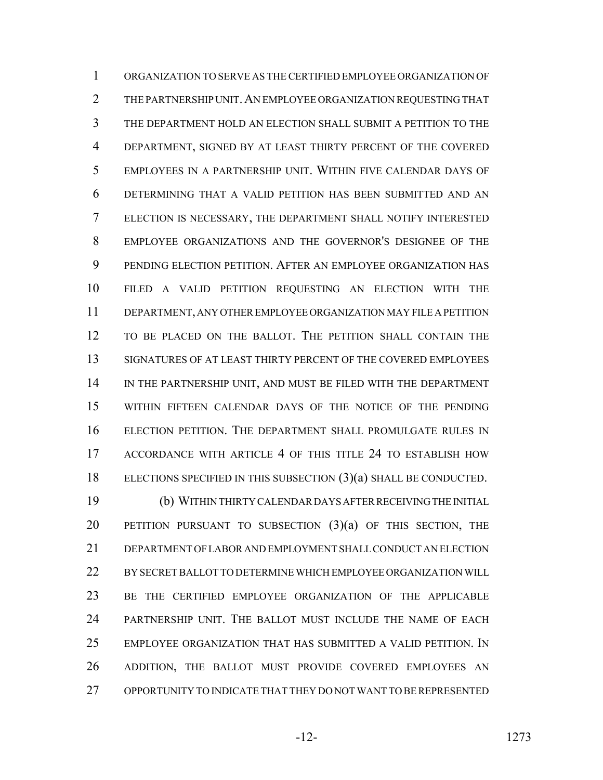ORGANIZATION TO SERVE AS THE CERTIFIED EMPLOYEE ORGANIZATION OF THE PARTNERSHIP UNIT.AN EMPLOYEE ORGANIZATION REQUESTING THAT THE DEPARTMENT HOLD AN ELECTION SHALL SUBMIT A PETITION TO THE DEPARTMENT, SIGNED BY AT LEAST THIRTY PERCENT OF THE COVERED EMPLOYEES IN A PARTNERSHIP UNIT. WITHIN FIVE CALENDAR DAYS OF DETERMINING THAT A VALID PETITION HAS BEEN SUBMITTED AND AN ELECTION IS NECESSARY, THE DEPARTMENT SHALL NOTIFY INTERESTED EMPLOYEE ORGANIZATIONS AND THE GOVERNOR'S DESIGNEE OF THE PENDING ELECTION PETITION. AFTER AN EMPLOYEE ORGANIZATION HAS FILED A VALID PETITION REQUESTING AN ELECTION WITH THE DEPARTMENT, ANY OTHER EMPLOYEE ORGANIZATION MAY FILE A PETITION TO BE PLACED ON THE BALLOT. THE PETITION SHALL CONTAIN THE SIGNATURES OF AT LEAST THIRTY PERCENT OF THE COVERED EMPLOYEES IN THE PARTNERSHIP UNIT, AND MUST BE FILED WITH THE DEPARTMENT WITHIN FIFTEEN CALENDAR DAYS OF THE NOTICE OF THE PENDING ELECTION PETITION. THE DEPARTMENT SHALL PROMULGATE RULES IN ACCORDANCE WITH ARTICLE 4 OF THIS TITLE 24 TO ESTABLISH HOW ELECTIONS SPECIFIED IN THIS SUBSECTION (3)(a) SHALL BE CONDUCTED.

 (b) WITHIN THIRTY CALENDAR DAYS AFTER RECEIVING THE INITIAL 20 PETITION PURSUANT TO SUBSECTION  $(3)(a)$  of this section, the DEPARTMENT OF LABOR AND EMPLOYMENT SHALL CONDUCT AN ELECTION BY SECRET BALLOT TO DETERMINE WHICH EMPLOYEE ORGANIZATION WILL BE THE CERTIFIED EMPLOYEE ORGANIZATION OF THE APPLICABLE PARTNERSHIP UNIT. THE BALLOT MUST INCLUDE THE NAME OF EACH EMPLOYEE ORGANIZATION THAT HAS SUBMITTED A VALID PETITION. IN ADDITION, THE BALLOT MUST PROVIDE COVERED EMPLOYEES AN OPPORTUNITY TO INDICATE THAT THEY DO NOT WANT TO BE REPRESENTED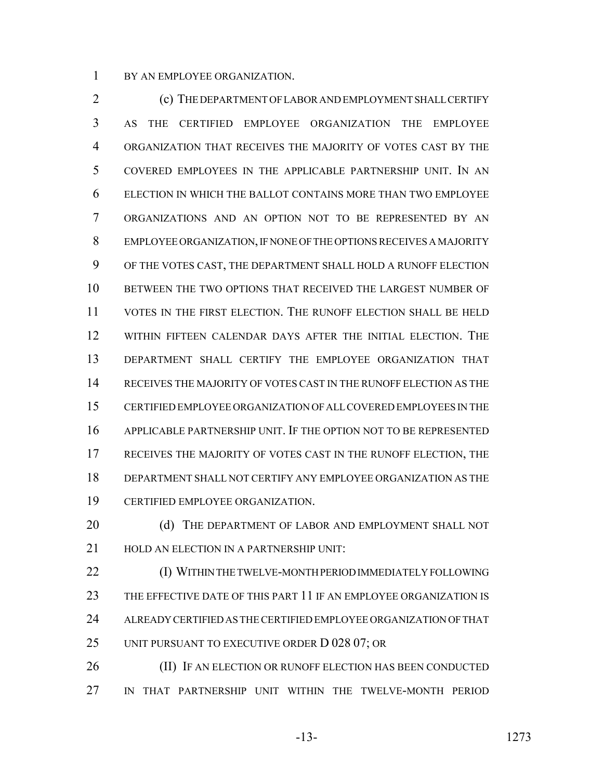BY AN EMPLOYEE ORGANIZATION.

 (c) THE DEPARTMENT OF LABOR AND EMPLOYMENT SHALL CERTIFY AS THE CERTIFIED EMPLOYEE ORGANIZATION THE EMPLOYEE ORGANIZATION THAT RECEIVES THE MAJORITY OF VOTES CAST BY THE COVERED EMPLOYEES IN THE APPLICABLE PARTNERSHIP UNIT. IN AN ELECTION IN WHICH THE BALLOT CONTAINS MORE THAN TWO EMPLOYEE ORGANIZATIONS AND AN OPTION NOT TO BE REPRESENTED BY AN EMPLOYEE ORGANIZATION, IF NONE OF THE OPTIONS RECEIVES A MAJORITY OF THE VOTES CAST, THE DEPARTMENT SHALL HOLD A RUNOFF ELECTION BETWEEN THE TWO OPTIONS THAT RECEIVED THE LARGEST NUMBER OF VOTES IN THE FIRST ELECTION. THE RUNOFF ELECTION SHALL BE HELD WITHIN FIFTEEN CALENDAR DAYS AFTER THE INITIAL ELECTION. THE DEPARTMENT SHALL CERTIFY THE EMPLOYEE ORGANIZATION THAT RECEIVES THE MAJORITY OF VOTES CAST IN THE RUNOFF ELECTION AS THE CERTIFIED EMPLOYEE ORGANIZATION OF ALL COVERED EMPLOYEES IN THE APPLICABLE PARTNERSHIP UNIT. IF THE OPTION NOT TO BE REPRESENTED RECEIVES THE MAJORITY OF VOTES CAST IN THE RUNOFF ELECTION, THE DEPARTMENT SHALL NOT CERTIFY ANY EMPLOYEE ORGANIZATION AS THE CERTIFIED EMPLOYEE ORGANIZATION.

20 (d) THE DEPARTMENT OF LABOR AND EMPLOYMENT SHALL NOT 21 HOLD AN ELECTION IN A PARTNERSHIP UNIT:

 (I) WITHIN THE TWELVE-MONTH PERIOD IMMEDIATELY FOLLOWING THE EFFECTIVE DATE OF THIS PART 11 IF AN EMPLOYEE ORGANIZATION IS ALREADY CERTIFIED AS THE CERTIFIED EMPLOYEE ORGANIZATION OF THAT UNIT PURSUANT TO EXECUTIVE ORDER D 028 07; OR

26 (II) IF AN ELECTION OR RUNOFF ELECTION HAS BEEN CONDUCTED IN THAT PARTNERSHIP UNIT WITHIN THE TWELVE-MONTH PERIOD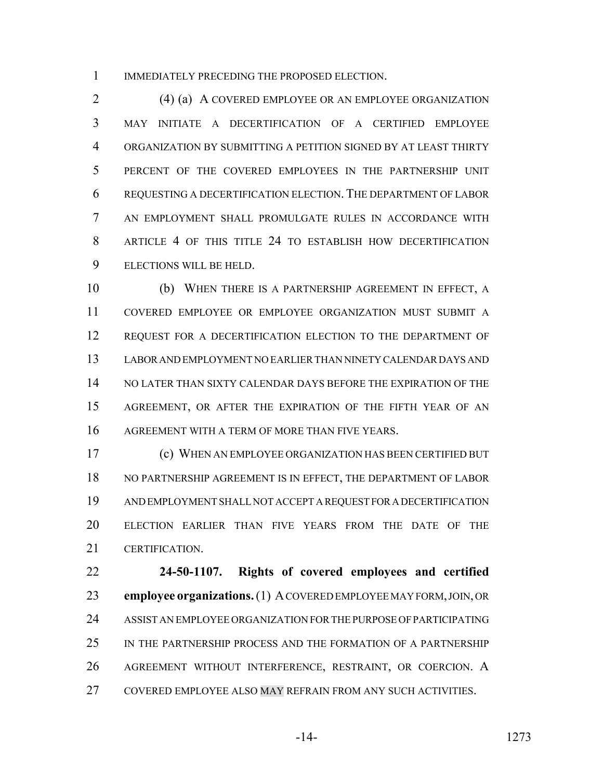1 IMMEDIATELY PRECEDING THE PROPOSED ELECTION.

 (4) (a) A COVERED EMPLOYEE OR AN EMPLOYEE ORGANIZATION MAY INITIATE A DECERTIFICATION OF A CERTIFIED EMPLOYEE ORGANIZATION BY SUBMITTING A PETITION SIGNED BY AT LEAST THIRTY PERCENT OF THE COVERED EMPLOYEES IN THE PARTNERSHIP UNIT REQUESTING A DECERTIFICATION ELECTION. THE DEPARTMENT OF LABOR AN EMPLOYMENT SHALL PROMULGATE RULES IN ACCORDANCE WITH ARTICLE 4 OF THIS TITLE 24 TO ESTABLISH HOW DECERTIFICATION ELECTIONS WILL BE HELD.

 (b) WHEN THERE IS A PARTNERSHIP AGREEMENT IN EFFECT, A COVERED EMPLOYEE OR EMPLOYEE ORGANIZATION MUST SUBMIT A 12 REQUEST FOR A DECERTIFICATION ELECTION TO THE DEPARTMENT OF LABOR AND EMPLOYMENT NO EARLIER THAN NINETY CALENDAR DAYS AND NO LATER THAN SIXTY CALENDAR DAYS BEFORE THE EXPIRATION OF THE AGREEMENT, OR AFTER THE EXPIRATION OF THE FIFTH YEAR OF AN AGREEMENT WITH A TERM OF MORE THAN FIVE YEARS.

 (c) WHEN AN EMPLOYEE ORGANIZATION HAS BEEN CERTIFIED BUT NO PARTNERSHIP AGREEMENT IS IN EFFECT, THE DEPARTMENT OF LABOR AND EMPLOYMENT SHALL NOT ACCEPT A REQUEST FOR A DECERTIFICATION ELECTION EARLIER THAN FIVE YEARS FROM THE DATE OF THE CERTIFICATION.

 **24-50-1107. Rights of covered employees and certified employee organizations.** (1) A COVERED EMPLOYEE MAY FORM, JOIN, OR ASSIST AN EMPLOYEE ORGANIZATION FOR THE PURPOSE OF PARTICIPATING IN THE PARTNERSHIP PROCESS AND THE FORMATION OF A PARTNERSHIP AGREEMENT WITHOUT INTERFERENCE, RESTRAINT, OR COERCION. A COVERED EMPLOYEE ALSO MAY REFRAIN FROM ANY SUCH ACTIVITIES.

-14- 1273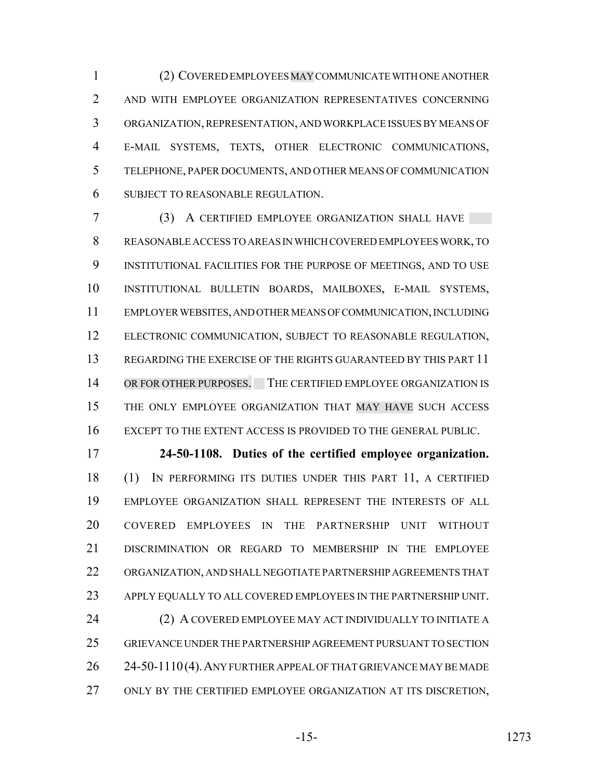(2) COVERED EMPLOYEES MAY COMMUNICATE WITH ONE ANOTHER AND WITH EMPLOYEE ORGANIZATION REPRESENTATIVES CONCERNING ORGANIZATION, REPRESENTATION, AND WORKPLACE ISSUES BY MEANS OF E-MAIL SYSTEMS, TEXTS, OTHER ELECTRONIC COMMUNICATIONS, TELEPHONE, PAPER DOCUMENTS, AND OTHER MEANS OF COMMUNICATION SUBJECT TO REASONABLE REGULATION.

 (3) A CERTIFIED EMPLOYEE ORGANIZATION SHALL HAVE REASONABLE ACCESS TO AREAS IN WHICH COVERED EMPLOYEES WORK, TO INSTITUTIONAL FACILITIES FOR THE PURPOSE OF MEETINGS, AND TO USE INSTITUTIONAL BULLETIN BOARDS, MAILBOXES, E-MAIL SYSTEMS, EMPLOYER WEBSITES, AND OTHER MEANS OF COMMUNICATION, INCLUDING ELECTRONIC COMMUNICATION, SUBJECT TO REASONABLE REGULATION, REGARDING THE EXERCISE OF THE RIGHTS GUARANTEED BY THIS PART 11 14 OR FOR OTHER PURPOSES. THE CERTIFIED EMPLOYEE ORGANIZATION IS THE ONLY EMPLOYEE ORGANIZATION THAT MAY HAVE SUCH ACCESS EXCEPT TO THE EXTENT ACCESS IS PROVIDED TO THE GENERAL PUBLIC.

 **24-50-1108. Duties of the certified employee organization.** (1) IN PERFORMING ITS DUTIES UNDER THIS PART 11, A CERTIFIED EMPLOYEE ORGANIZATION SHALL REPRESENT THE INTERESTS OF ALL COVERED EMPLOYEES IN THE PARTNERSHIP UNIT WITHOUT DISCRIMINATION OR REGARD TO MEMBERSHIP IN THE EMPLOYEE ORGANIZATION, AND SHALL NEGOTIATE PARTNERSHIP AGREEMENTS THAT APPLY EQUALLY TO ALL COVERED EMPLOYEES IN THE PARTNERSHIP UNIT. (2) A COVERED EMPLOYEE MAY ACT INDIVIDUALLY TO INITIATE A GRIEVANCE UNDER THE PARTNERSHIP AGREEMENT PURSUANT TO SECTION 26 24-50-1110(4). ANY FURTHER APPEAL OF THAT GRIEVANCE MAY BE MADE ONLY BY THE CERTIFIED EMPLOYEE ORGANIZATION AT ITS DISCRETION,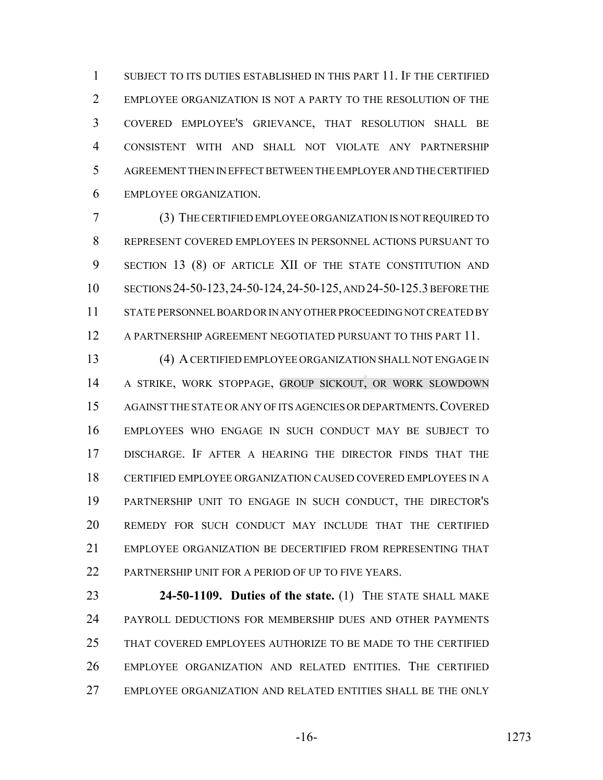1 SUBJECT TO ITS DUTIES ESTABLISHED IN THIS PART 11. IF THE CERTIFIED EMPLOYEE ORGANIZATION IS NOT A PARTY TO THE RESOLUTION OF THE COVERED EMPLOYEE'S GRIEVANCE, THAT RESOLUTION SHALL BE CONSISTENT WITH AND SHALL NOT VIOLATE ANY PARTNERSHIP AGREEMENT THEN IN EFFECT BETWEEN THE EMPLOYER AND THE CERTIFIED EMPLOYEE ORGANIZATION.

 (3) THE CERTIFIED EMPLOYEE ORGANIZATION IS NOT REQUIRED TO REPRESENT COVERED EMPLOYEES IN PERSONNEL ACTIONS PURSUANT TO SECTION 13 (8) OF ARTICLE XII OF THE STATE CONSTITUTION AND SECTIONS 24-50-123,24-50-124,24-50-125, AND 24-50-125.3 BEFORE THE STATE PERSONNEL BOARD OR IN ANY OTHER PROCEEDING NOT CREATED BY A PARTNERSHIP AGREEMENT NEGOTIATED PURSUANT TO THIS PART 11.

 (4) A CERTIFIED EMPLOYEE ORGANIZATION SHALL NOT ENGAGE IN A STRIKE, WORK STOPPAGE, GROUP SICKOUT, OR WORK SLOWDOWN AGAINST THE STATE OR ANY OF ITS AGENCIES OR DEPARTMENTS.COVERED EMPLOYEES WHO ENGAGE IN SUCH CONDUCT MAY BE SUBJECT TO DISCHARGE. IF AFTER A HEARING THE DIRECTOR FINDS THAT THE CERTIFIED EMPLOYEE ORGANIZATION CAUSED COVERED EMPLOYEES IN A PARTNERSHIP UNIT TO ENGAGE IN SUCH CONDUCT, THE DIRECTOR'S REMEDY FOR SUCH CONDUCT MAY INCLUDE THAT THE CERTIFIED EMPLOYEE ORGANIZATION BE DECERTIFIED FROM REPRESENTING THAT PARTNERSHIP UNIT FOR A PERIOD OF UP TO FIVE YEARS.

 **24-50-1109. Duties of the state.** (1) THE STATE SHALL MAKE PAYROLL DEDUCTIONS FOR MEMBERSHIP DUES AND OTHER PAYMENTS THAT COVERED EMPLOYEES AUTHORIZE TO BE MADE TO THE CERTIFIED EMPLOYEE ORGANIZATION AND RELATED ENTITIES. THE CERTIFIED EMPLOYEE ORGANIZATION AND RELATED ENTITIES SHALL BE THE ONLY

-16- 1273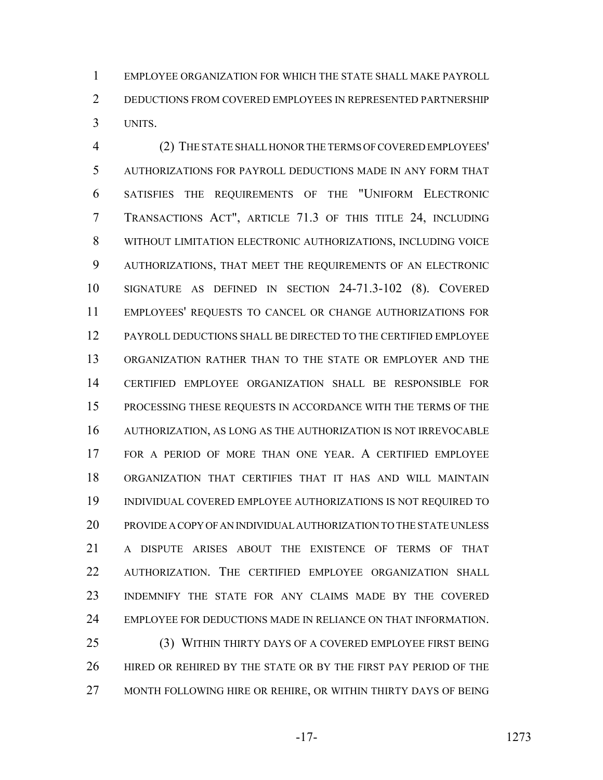EMPLOYEE ORGANIZATION FOR WHICH THE STATE SHALL MAKE PAYROLL DEDUCTIONS FROM COVERED EMPLOYEES IN REPRESENTED PARTNERSHIP UNITS.

 (2) THE STATE SHALL HONOR THE TERMS OF COVERED EMPLOYEES' AUTHORIZATIONS FOR PAYROLL DEDUCTIONS MADE IN ANY FORM THAT SATISFIES THE REQUIREMENTS OF THE "UNIFORM ELECTRONIC TRANSACTIONS ACT", ARTICLE 71.3 OF THIS TITLE 24, INCLUDING WITHOUT LIMITATION ELECTRONIC AUTHORIZATIONS, INCLUDING VOICE AUTHORIZATIONS, THAT MEET THE REQUIREMENTS OF AN ELECTRONIC SIGNATURE AS DEFINED IN SECTION 24-71.3-102 (8). COVERED EMPLOYEES' REQUESTS TO CANCEL OR CHANGE AUTHORIZATIONS FOR PAYROLL DEDUCTIONS SHALL BE DIRECTED TO THE CERTIFIED EMPLOYEE ORGANIZATION RATHER THAN TO THE STATE OR EMPLOYER AND THE CERTIFIED EMPLOYEE ORGANIZATION SHALL BE RESPONSIBLE FOR PROCESSING THESE REQUESTS IN ACCORDANCE WITH THE TERMS OF THE AUTHORIZATION, AS LONG AS THE AUTHORIZATION IS NOT IRREVOCABLE FOR A PERIOD OF MORE THAN ONE YEAR. A CERTIFIED EMPLOYEE ORGANIZATION THAT CERTIFIES THAT IT HAS AND WILL MAINTAIN INDIVIDUAL COVERED EMPLOYEE AUTHORIZATIONS IS NOT REQUIRED TO PROVIDE A COPY OF AN INDIVIDUAL AUTHORIZATION TO THE STATE UNLESS A DISPUTE ARISES ABOUT THE EXISTENCE OF TERMS OF THAT AUTHORIZATION. THE CERTIFIED EMPLOYEE ORGANIZATION SHALL INDEMNIFY THE STATE FOR ANY CLAIMS MADE BY THE COVERED EMPLOYEE FOR DEDUCTIONS MADE IN RELIANCE ON THAT INFORMATION. (3) WITHIN THIRTY DAYS OF A COVERED EMPLOYEE FIRST BEING

 HIRED OR REHIRED BY THE STATE OR BY THE FIRST PAY PERIOD OF THE MONTH FOLLOWING HIRE OR REHIRE, OR WITHIN THIRTY DAYS OF BEING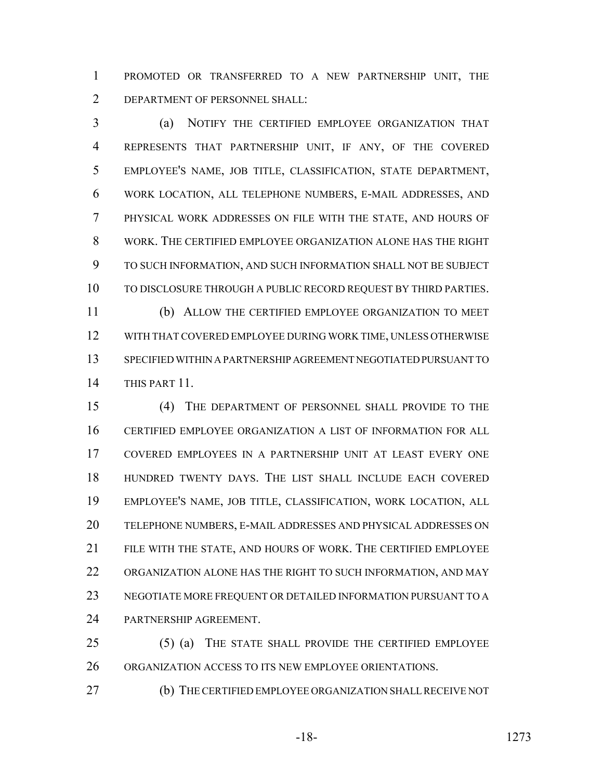PROMOTED OR TRANSFERRED TO A NEW PARTNERSHIP UNIT, THE DEPARTMENT OF PERSONNEL SHALL:

 (a) NOTIFY THE CERTIFIED EMPLOYEE ORGANIZATION THAT REPRESENTS THAT PARTNERSHIP UNIT, IF ANY, OF THE COVERED EMPLOYEE'S NAME, JOB TITLE, CLASSIFICATION, STATE DEPARTMENT, WORK LOCATION, ALL TELEPHONE NUMBERS, E-MAIL ADDRESSES, AND PHYSICAL WORK ADDRESSES ON FILE WITH THE STATE, AND HOURS OF WORK. THE CERTIFIED EMPLOYEE ORGANIZATION ALONE HAS THE RIGHT TO SUCH INFORMATION, AND SUCH INFORMATION SHALL NOT BE SUBJECT TO DISCLOSURE THROUGH A PUBLIC RECORD REQUEST BY THIRD PARTIES. (b) ALLOW THE CERTIFIED EMPLOYEE ORGANIZATION TO MEET

 WITH THAT COVERED EMPLOYEE DURING WORK TIME, UNLESS OTHERWISE SPECIFIED WITHIN A PARTNERSHIP AGREEMENT NEGOTIATED PURSUANT TO THIS PART 11.

 (4) THE DEPARTMENT OF PERSONNEL SHALL PROVIDE TO THE CERTIFIED EMPLOYEE ORGANIZATION A LIST OF INFORMATION FOR ALL COVERED EMPLOYEES IN A PARTNERSHIP UNIT AT LEAST EVERY ONE HUNDRED TWENTY DAYS. THE LIST SHALL INCLUDE EACH COVERED EMPLOYEE'S NAME, JOB TITLE, CLASSIFICATION, WORK LOCATION, ALL TELEPHONE NUMBERS, E-MAIL ADDRESSES AND PHYSICAL ADDRESSES ON FILE WITH THE STATE, AND HOURS OF WORK. THE CERTIFIED EMPLOYEE ORGANIZATION ALONE HAS THE RIGHT TO SUCH INFORMATION, AND MAY NEGOTIATE MORE FREQUENT OR DETAILED INFORMATION PURSUANT TO A PARTNERSHIP AGREEMENT.

 (5) (a) THE STATE SHALL PROVIDE THE CERTIFIED EMPLOYEE ORGANIZATION ACCESS TO ITS NEW EMPLOYEE ORIENTATIONS.

(b) THE CERTIFIED EMPLOYEE ORGANIZATION SHALL RECEIVE NOT

-18- 1273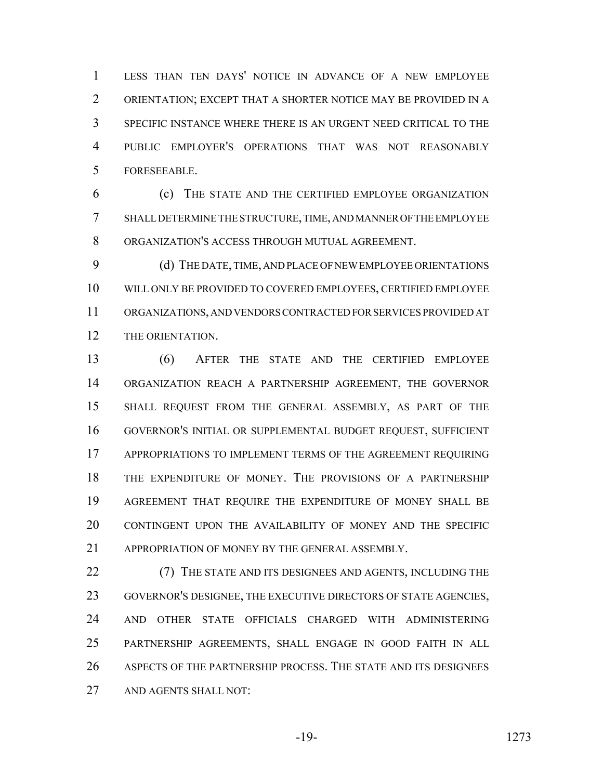LESS THAN TEN DAYS' NOTICE IN ADVANCE OF A NEW EMPLOYEE ORIENTATION; EXCEPT THAT A SHORTER NOTICE MAY BE PROVIDED IN A SPECIFIC INSTANCE WHERE THERE IS AN URGENT NEED CRITICAL TO THE PUBLIC EMPLOYER'S OPERATIONS THAT WAS NOT REASONABLY FORESEEABLE.

 (c) THE STATE AND THE CERTIFIED EMPLOYEE ORGANIZATION SHALL DETERMINE THE STRUCTURE, TIME, AND MANNER OF THE EMPLOYEE ORGANIZATION'S ACCESS THROUGH MUTUAL AGREEMENT.

 (d) THE DATE, TIME, AND PLACE OF NEW EMPLOYEE ORIENTATIONS WILL ONLY BE PROVIDED TO COVERED EMPLOYEES, CERTIFIED EMPLOYEE ORGANIZATIONS, AND VENDORS CONTRACTED FOR SERVICES PROVIDED AT THE ORIENTATION.

 (6) AFTER THE STATE AND THE CERTIFIED EMPLOYEE ORGANIZATION REACH A PARTNERSHIP AGREEMENT, THE GOVERNOR SHALL REQUEST FROM THE GENERAL ASSEMBLY, AS PART OF THE GOVERNOR'S INITIAL OR SUPPLEMENTAL BUDGET REQUEST, SUFFICIENT APPROPRIATIONS TO IMPLEMENT TERMS OF THE AGREEMENT REQUIRING THE EXPENDITURE OF MONEY. THE PROVISIONS OF A PARTNERSHIP AGREEMENT THAT REQUIRE THE EXPENDITURE OF MONEY SHALL BE CONTINGENT UPON THE AVAILABILITY OF MONEY AND THE SPECIFIC 21 APPROPRIATION OF MONEY BY THE GENERAL ASSEMBLY.

 (7) THE STATE AND ITS DESIGNEES AND AGENTS, INCLUDING THE GOVERNOR'S DESIGNEE, THE EXECUTIVE DIRECTORS OF STATE AGENCIES, AND OTHER STATE OFFICIALS CHARGED WITH ADMINISTERING PARTNERSHIP AGREEMENTS, SHALL ENGAGE IN GOOD FAITH IN ALL ASPECTS OF THE PARTNERSHIP PROCESS. THE STATE AND ITS DESIGNEES AND AGENTS SHALL NOT: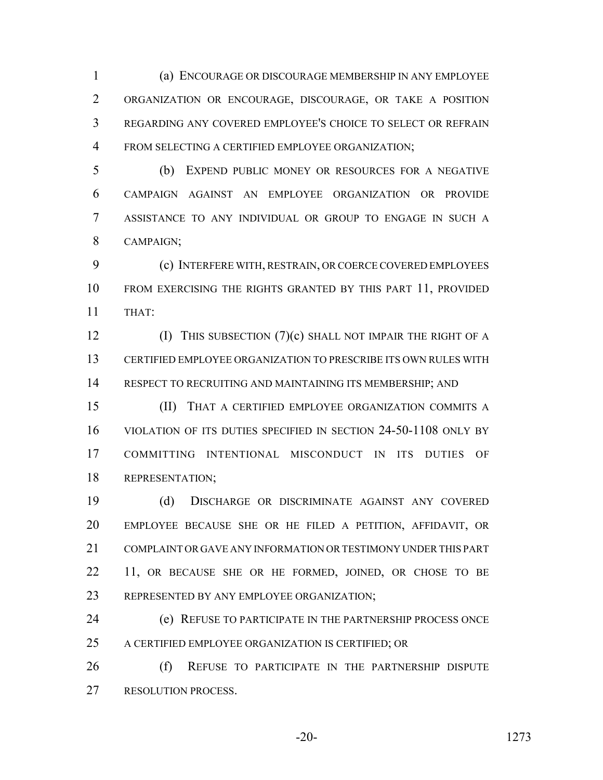(a) ENCOURAGE OR DISCOURAGE MEMBERSHIP IN ANY EMPLOYEE ORGANIZATION OR ENCOURAGE, DISCOURAGE, OR TAKE A POSITION REGARDING ANY COVERED EMPLOYEE'S CHOICE TO SELECT OR REFRAIN FROM SELECTING A CERTIFIED EMPLOYEE ORGANIZATION;

 (b) EXPEND PUBLIC MONEY OR RESOURCES FOR A NEGATIVE CAMPAIGN AGAINST AN EMPLOYEE ORGANIZATION OR PROVIDE ASSISTANCE TO ANY INDIVIDUAL OR GROUP TO ENGAGE IN SUCH A CAMPAIGN;

 (c) INTERFERE WITH, RESTRAIN, OR COERCE COVERED EMPLOYEES FROM EXERCISING THE RIGHTS GRANTED BY THIS PART 11, PROVIDED THAT:

**(I)** THIS SUBSECTION (7)(c) SHALL NOT IMPAIR THE RIGHT OF A CERTIFIED EMPLOYEE ORGANIZATION TO PRESCRIBE ITS OWN RULES WITH RESPECT TO RECRUITING AND MAINTAINING ITS MEMBERSHIP; AND

 (II) THAT A CERTIFIED EMPLOYEE ORGANIZATION COMMITS A VIOLATION OF ITS DUTIES SPECIFIED IN SECTION 24-50-1108 ONLY BY COMMITTING INTENTIONAL MISCONDUCT IN ITS DUTIES OF REPRESENTATION;

 (d) DISCHARGE OR DISCRIMINATE AGAINST ANY COVERED EMPLOYEE BECAUSE SHE OR HE FILED A PETITION, AFFIDAVIT, OR COMPLAINT OR GAVE ANY INFORMATION OR TESTIMONY UNDER THIS PART 22 11, OR BECAUSE SHE OR HE FORMED, JOINED, OR CHOSE TO BE REPRESENTED BY ANY EMPLOYEE ORGANIZATION;

 (e) REFUSE TO PARTICIPATE IN THE PARTNERSHIP PROCESS ONCE A CERTIFIED EMPLOYEE ORGANIZATION IS CERTIFIED; OR

26 (f) REFUSE TO PARTICIPATE IN THE PARTNERSHIP DISPUTE RESOLUTION PROCESS.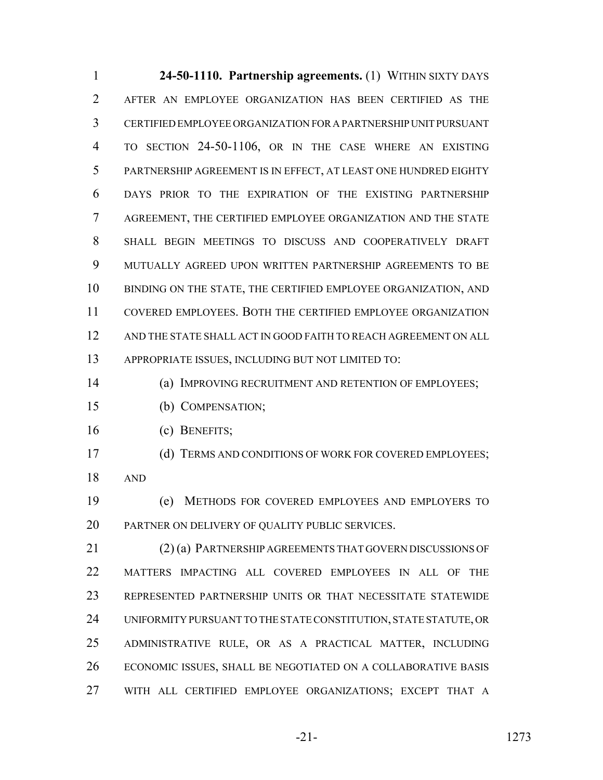**24-50-1110. Partnership agreements.** (1) WITHIN SIXTY DAYS AFTER AN EMPLOYEE ORGANIZATION HAS BEEN CERTIFIED AS THE CERTIFIED EMPLOYEE ORGANIZATION FOR A PARTNERSHIP UNIT PURSUANT TO SECTION 24-50-1106, OR IN THE CASE WHERE AN EXISTING PARTNERSHIP AGREEMENT IS IN EFFECT, AT LEAST ONE HUNDRED EIGHTY DAYS PRIOR TO THE EXPIRATION OF THE EXISTING PARTNERSHIP AGREEMENT, THE CERTIFIED EMPLOYEE ORGANIZATION AND THE STATE SHALL BEGIN MEETINGS TO DISCUSS AND COOPERATIVELY DRAFT MUTUALLY AGREED UPON WRITTEN PARTNERSHIP AGREEMENTS TO BE BINDING ON THE STATE, THE CERTIFIED EMPLOYEE ORGANIZATION, AND COVERED EMPLOYEES. BOTH THE CERTIFIED EMPLOYEE ORGANIZATION AND THE STATE SHALL ACT IN GOOD FAITH TO REACH AGREEMENT ON ALL APPROPRIATE ISSUES, INCLUDING BUT NOT LIMITED TO: 14 (a) IMPROVING RECRUITMENT AND RETENTION OF EMPLOYEES; (b) COMPENSATION;

(c) BENEFITS;

 (d) TERMS AND CONDITIONS OF WORK FOR COVERED EMPLOYEES; AND

 (e) METHODS FOR COVERED EMPLOYEES AND EMPLOYERS TO PARTNER ON DELIVERY OF QUALITY PUBLIC SERVICES.

 (2) (a) PARTNERSHIP AGREEMENTS THAT GOVERN DISCUSSIONS OF MATTERS IMPACTING ALL COVERED EMPLOYEES IN ALL OF THE REPRESENTED PARTNERSHIP UNITS OR THAT NECESSITATE STATEWIDE UNIFORMITY PURSUANT TO THE STATE CONSTITUTION, STATE STATUTE, OR ADMINISTRATIVE RULE, OR AS A PRACTICAL MATTER, INCLUDING ECONOMIC ISSUES, SHALL BE NEGOTIATED ON A COLLABORATIVE BASIS WITH ALL CERTIFIED EMPLOYEE ORGANIZATIONS; EXCEPT THAT A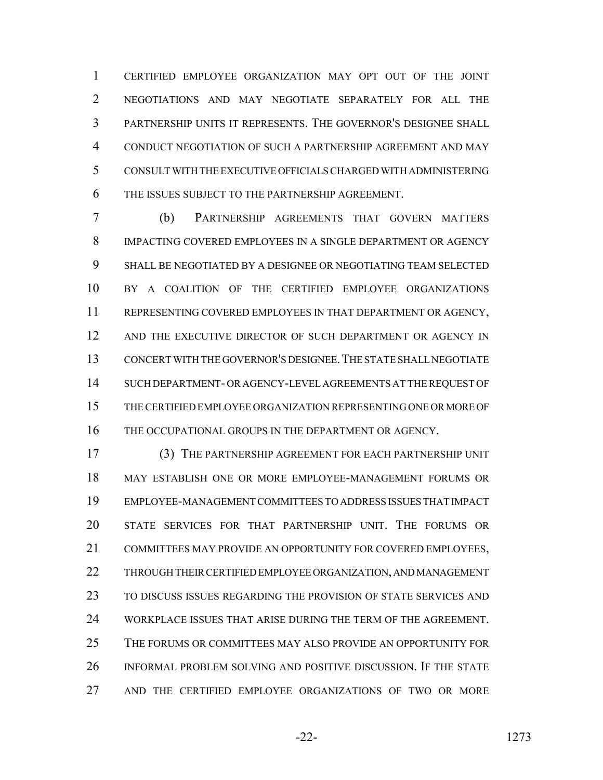CERTIFIED EMPLOYEE ORGANIZATION MAY OPT OUT OF THE JOINT NEGOTIATIONS AND MAY NEGOTIATE SEPARATELY FOR ALL THE PARTNERSHIP UNITS IT REPRESENTS. THE GOVERNOR'S DESIGNEE SHALL CONDUCT NEGOTIATION OF SUCH A PARTNERSHIP AGREEMENT AND MAY CONSULT WITH THE EXECUTIVE OFFICIALS CHARGED WITH ADMINISTERING THE ISSUES SUBJECT TO THE PARTNERSHIP AGREEMENT.

 (b) PARTNERSHIP AGREEMENTS THAT GOVERN MATTERS IMPACTING COVERED EMPLOYEES IN A SINGLE DEPARTMENT OR AGENCY SHALL BE NEGOTIATED BY A DESIGNEE OR NEGOTIATING TEAM SELECTED BY A COALITION OF THE CERTIFIED EMPLOYEE ORGANIZATIONS REPRESENTING COVERED EMPLOYEES IN THAT DEPARTMENT OR AGENCY, 12 AND THE EXECUTIVE DIRECTOR OF SUCH DEPARTMENT OR AGENCY IN CONCERT WITH THE GOVERNOR'S DESIGNEE.THE STATE SHALL NEGOTIATE SUCH DEPARTMENT- OR AGENCY-LEVEL AGREEMENTS AT THE REQUEST OF THE CERTIFIED EMPLOYEE ORGANIZATION REPRESENTING ONE OR MORE OF 16 THE OCCUPATIONAL GROUPS IN THE DEPARTMENT OR AGENCY.

 (3) THE PARTNERSHIP AGREEMENT FOR EACH PARTNERSHIP UNIT MAY ESTABLISH ONE OR MORE EMPLOYEE-MANAGEMENT FORUMS OR EMPLOYEE-MANAGEMENT COMMITTEES TO ADDRESS ISSUES THAT IMPACT STATE SERVICES FOR THAT PARTNERSHIP UNIT. THE FORUMS OR COMMITTEES MAY PROVIDE AN OPPORTUNITY FOR COVERED EMPLOYEES, THROUGH THEIR CERTIFIED EMPLOYEE ORGANIZATION, AND MANAGEMENT TO DISCUSS ISSUES REGARDING THE PROVISION OF STATE SERVICES AND WORKPLACE ISSUES THAT ARISE DURING THE TERM OF THE AGREEMENT. THE FORUMS OR COMMITTEES MAY ALSO PROVIDE AN OPPORTUNITY FOR INFORMAL PROBLEM SOLVING AND POSITIVE DISCUSSION. IF THE STATE AND THE CERTIFIED EMPLOYEE ORGANIZATIONS OF TWO OR MORE

-22- 1273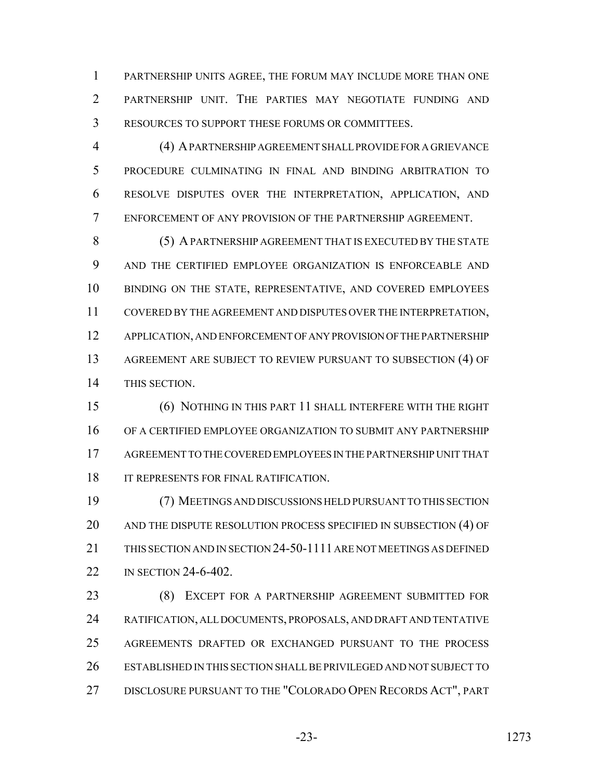PARTNERSHIP UNITS AGREE, THE FORUM MAY INCLUDE MORE THAN ONE PARTNERSHIP UNIT. THE PARTIES MAY NEGOTIATE FUNDING AND RESOURCES TO SUPPORT THESE FORUMS OR COMMITTEES.

 (4) A PARTNERSHIP AGREEMENT SHALL PROVIDE FOR A GRIEVANCE PROCEDURE CULMINATING IN FINAL AND BINDING ARBITRATION TO RESOLVE DISPUTES OVER THE INTERPRETATION, APPLICATION, AND ENFORCEMENT OF ANY PROVISION OF THE PARTNERSHIP AGREEMENT.

 (5) A PARTNERSHIP AGREEMENT THAT IS EXECUTED BY THE STATE AND THE CERTIFIED EMPLOYEE ORGANIZATION IS ENFORCEABLE AND 10 BINDING ON THE STATE, REPRESENTATIVE, AND COVERED EMPLOYEES COVERED BY THE AGREEMENT AND DISPUTES OVER THE INTERPRETATION, APPLICATION, AND ENFORCEMENT OF ANY PROVISION OF THE PARTNERSHIP AGREEMENT ARE SUBJECT TO REVIEW PURSUANT TO SUBSECTION (4) OF THIS SECTION.

 (6) NOTHING IN THIS PART 11 SHALL INTERFERE WITH THE RIGHT OF A CERTIFIED EMPLOYEE ORGANIZATION TO SUBMIT ANY PARTNERSHIP AGREEMENT TO THE COVERED EMPLOYEES IN THE PARTNERSHIP UNIT THAT 18 IT REPRESENTS FOR FINAL RATIFICATION.

 (7) MEETINGS AND DISCUSSIONS HELD PURSUANT TO THIS SECTION 20 AND THE DISPUTE RESOLUTION PROCESS SPECIFIED IN SUBSECTION (4) OF THIS SECTION AND IN SECTION 24-50-1111 ARE NOT MEETINGS AS DEFINED IN SECTION 24-6-402.

 (8) EXCEPT FOR A PARTNERSHIP AGREEMENT SUBMITTED FOR RATIFICATION, ALL DOCUMENTS, PROPOSALS, AND DRAFT AND TENTATIVE AGREEMENTS DRAFTED OR EXCHANGED PURSUANT TO THE PROCESS ESTABLISHED IN THIS SECTION SHALL BE PRIVILEGED AND NOT SUBJECT TO DISCLOSURE PURSUANT TO THE "COLORADO OPEN RECORDS ACT", PART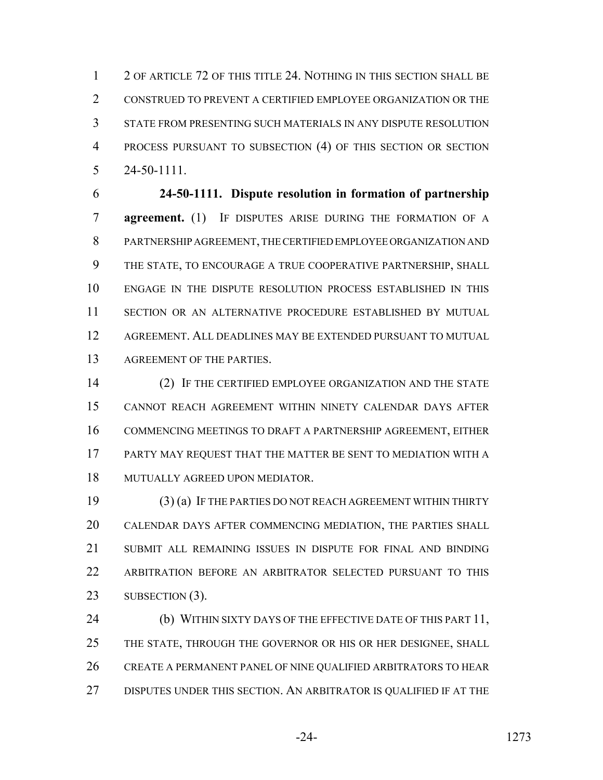2 OF ARTICLE 72 OF THIS TITLE 24. NOTHING IN THIS SECTION SHALL BE CONSTRUED TO PREVENT A CERTIFIED EMPLOYEE ORGANIZATION OR THE STATE FROM PRESENTING SUCH MATERIALS IN ANY DISPUTE RESOLUTION PROCESS PURSUANT TO SUBSECTION (4) OF THIS SECTION OR SECTION 24-50-1111.

 **24-50-1111. Dispute resolution in formation of partnership agreement.** (1) IF DISPUTES ARISE DURING THE FORMATION OF A PARTNERSHIP AGREEMENT, THE CERTIFIED EMPLOYEE ORGANIZATION AND THE STATE, TO ENCOURAGE A TRUE COOPERATIVE PARTNERSHIP, SHALL ENGAGE IN THE DISPUTE RESOLUTION PROCESS ESTABLISHED IN THIS SECTION OR AN ALTERNATIVE PROCEDURE ESTABLISHED BY MUTUAL AGREEMENT. ALL DEADLINES MAY BE EXTENDED PURSUANT TO MUTUAL AGREEMENT OF THE PARTIES.

 (2) IF THE CERTIFIED EMPLOYEE ORGANIZATION AND THE STATE CANNOT REACH AGREEMENT WITHIN NINETY CALENDAR DAYS AFTER COMMENCING MEETINGS TO DRAFT A PARTNERSHIP AGREEMENT, EITHER PARTY MAY REQUEST THAT THE MATTER BE SENT TO MEDIATION WITH A MUTUALLY AGREED UPON MEDIATOR.

 (3) (a) IF THE PARTIES DO NOT REACH AGREEMENT WITHIN THIRTY CALENDAR DAYS AFTER COMMENCING MEDIATION, THE PARTIES SHALL SUBMIT ALL REMAINING ISSUES IN DISPUTE FOR FINAL AND BINDING ARBITRATION BEFORE AN ARBITRATOR SELECTED PURSUANT TO THIS 23 SUBSECTION (3).

24 (b) WITHIN SIXTY DAYS OF THE EFFECTIVE DATE OF THIS PART 11, THE STATE, THROUGH THE GOVERNOR OR HIS OR HER DESIGNEE, SHALL CREATE A PERMANENT PANEL OF NINE QUALIFIED ARBITRATORS TO HEAR DISPUTES UNDER THIS SECTION. AN ARBITRATOR IS QUALIFIED IF AT THE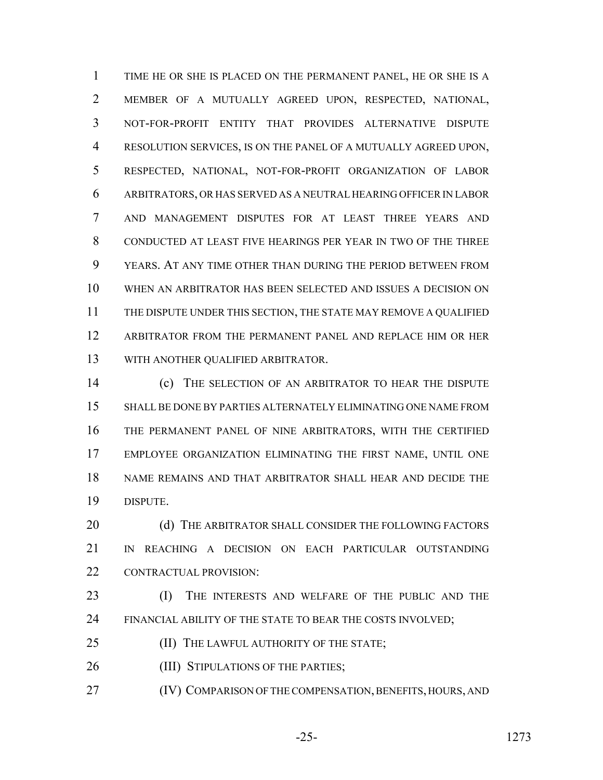TIME HE OR SHE IS PLACED ON THE PERMANENT PANEL, HE OR SHE IS A MEMBER OF A MUTUALLY AGREED UPON, RESPECTED, NATIONAL, NOT-FOR-PROFIT ENTITY THAT PROVIDES ALTERNATIVE DISPUTE RESOLUTION SERVICES, IS ON THE PANEL OF A MUTUALLY AGREED UPON, RESPECTED, NATIONAL, NOT-FOR-PROFIT ORGANIZATION OF LABOR ARBITRATORS, OR HAS SERVED AS A NEUTRAL HEARING OFFICER IN LABOR AND MANAGEMENT DISPUTES FOR AT LEAST THREE YEARS AND CONDUCTED AT LEAST FIVE HEARINGS PER YEAR IN TWO OF THE THREE YEARS. AT ANY TIME OTHER THAN DURING THE PERIOD BETWEEN FROM WHEN AN ARBITRATOR HAS BEEN SELECTED AND ISSUES A DECISION ON THE DISPUTE UNDER THIS SECTION, THE STATE MAY REMOVE A QUALIFIED ARBITRATOR FROM THE PERMANENT PANEL AND REPLACE HIM OR HER WITH ANOTHER QUALIFIED ARBITRATOR.

 (c) THE SELECTION OF AN ARBITRATOR TO HEAR THE DISPUTE SHALL BE DONE BY PARTIES ALTERNATELY ELIMINATING ONE NAME FROM THE PERMANENT PANEL OF NINE ARBITRATORS, WITH THE CERTIFIED EMPLOYEE ORGANIZATION ELIMINATING THE FIRST NAME, UNTIL ONE NAME REMAINS AND THAT ARBITRATOR SHALL HEAR AND DECIDE THE DISPUTE.

20 (d) THE ARBITRATOR SHALL CONSIDER THE FOLLOWING FACTORS IN REACHING A DECISION ON EACH PARTICULAR OUTSTANDING CONTRACTUAL PROVISION:

 (I) THE INTERESTS AND WELFARE OF THE PUBLIC AND THE 24 FINANCIAL ABILITY OF THE STATE TO BEAR THE COSTS INVOLVED;

**(II) THE LAWFUL AUTHORITY OF THE STATE;** 

26 (III) STIPULATIONS OF THE PARTIES;

(IV) COMPARISON OF THE COMPENSATION, BENEFITS, HOURS, AND

-25- 1273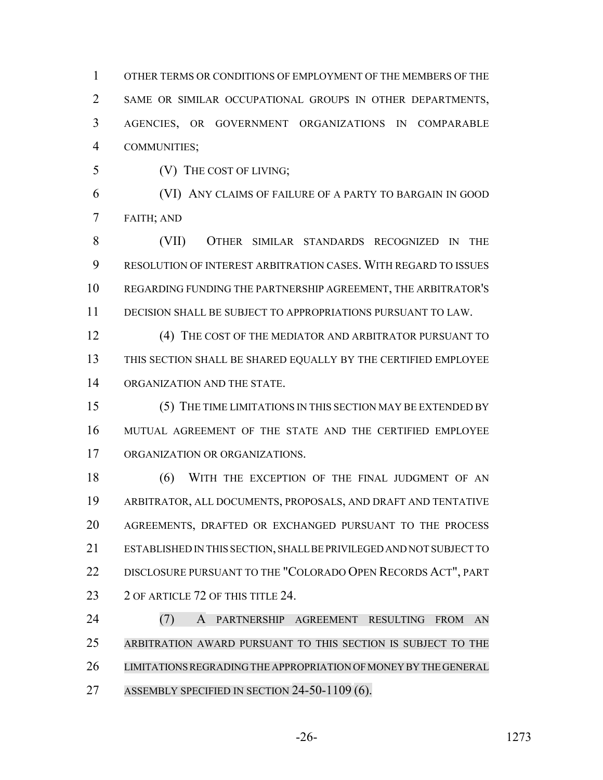OTHER TERMS OR CONDITIONS OF EMPLOYMENT OF THE MEMBERS OF THE SAME OR SIMILAR OCCUPATIONAL GROUPS IN OTHER DEPARTMENTS, AGENCIES, OR GOVERNMENT ORGANIZATIONS IN COMPARABLE COMMUNITIES;

(V) THE COST OF LIVING;

 (VI) ANY CLAIMS OF FAILURE OF A PARTY TO BARGAIN IN GOOD FAITH; AND

 (VII) OTHER SIMILAR STANDARDS RECOGNIZED IN THE RESOLUTION OF INTEREST ARBITRATION CASES. WITH REGARD TO ISSUES REGARDING FUNDING THE PARTNERSHIP AGREEMENT, THE ARBITRATOR'S DECISION SHALL BE SUBJECT TO APPROPRIATIONS PURSUANT TO LAW.

12 (4) THE COST OF THE MEDIATOR AND ARBITRATOR PURSUANT TO THIS SECTION SHALL BE SHARED EQUALLY BY THE CERTIFIED EMPLOYEE ORGANIZATION AND THE STATE.

 (5) THE TIME LIMITATIONS IN THIS SECTION MAY BE EXTENDED BY MUTUAL AGREEMENT OF THE STATE AND THE CERTIFIED EMPLOYEE ORGANIZATION OR ORGANIZATIONS.

18 (6) WITH THE EXCEPTION OF THE FINAL JUDGMENT OF AN ARBITRATOR, ALL DOCUMENTS, PROPOSALS, AND DRAFT AND TENTATIVE AGREEMENTS, DRAFTED OR EXCHANGED PURSUANT TO THE PROCESS ESTABLISHED IN THIS SECTION, SHALL BE PRIVILEGED AND NOT SUBJECT TO DISCLOSURE PURSUANT TO THE "COLORADO OPEN RECORDS ACT", PART 23 2 OF ARTICLE 72 OF THIS TITLE 24.

 (7) A PARTNERSHIP AGREEMENT RESULTING FROM AN ARBITRATION AWARD PURSUANT TO THIS SECTION IS SUBJECT TO THE LIMITATIONS REGRADING THE APPROPRIATION OF MONEY BY THE GENERAL ASSEMBLY SPECIFIED IN SECTION 24-50-1109 (6).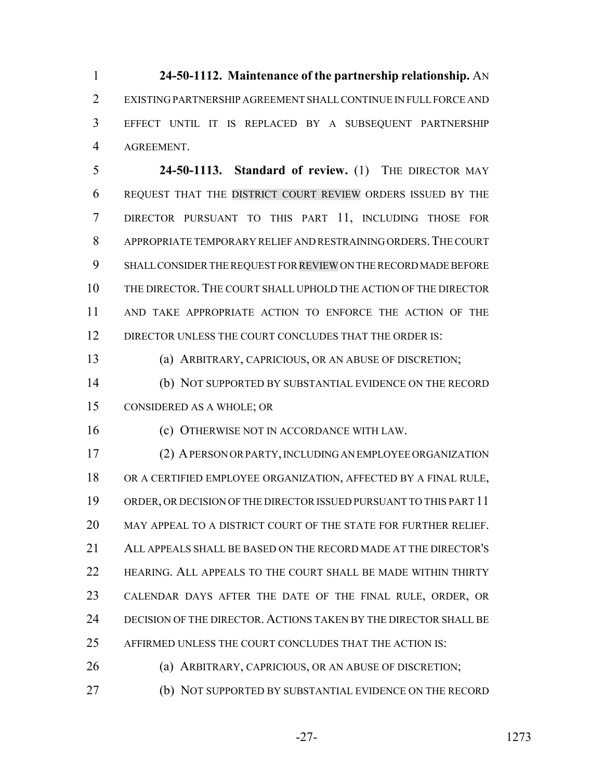**24-50-1112. Maintenance of the partnership relationship.** AN EXISTING PARTNERSHIP AGREEMENT SHALL CONTINUE IN FULL FORCE AND EFFECT UNTIL IT IS REPLACED BY A SUBSEQUENT PARTNERSHIP AGREEMENT.

 **24-50-1113. Standard of review.** (1) THE DIRECTOR MAY REQUEST THAT THE DISTRICT COURT REVIEW ORDERS ISSUED BY THE DIRECTOR PURSUANT TO THIS PART 11, INCLUDING THOSE FOR APPROPRIATE TEMPORARY RELIEF AND RESTRAINING ORDERS.THE COURT SHALL CONSIDER THE REQUEST FOR REVIEW ON THE RECORD MADE BEFORE THE DIRECTOR. THE COURT SHALL UPHOLD THE ACTION OF THE DIRECTOR AND TAKE APPROPRIATE ACTION TO ENFORCE THE ACTION OF THE 12 DIRECTOR UNLESS THE COURT CONCLUDES THAT THE ORDER IS:

(a) ARBITRARY, CAPRICIOUS, OR AN ABUSE OF DISCRETION;

 (b) NOT SUPPORTED BY SUBSTANTIAL EVIDENCE ON THE RECORD CONSIDERED AS A WHOLE; OR

(c) OTHERWISE NOT IN ACCORDANCE WITH LAW.

 (2) A PERSON OR PARTY, INCLUDING AN EMPLOYEE ORGANIZATION OR A CERTIFIED EMPLOYEE ORGANIZATION, AFFECTED BY A FINAL RULE, ORDER, OR DECISION OF THE DIRECTOR ISSUED PURSUANT TO THIS PART 11 MAY APPEAL TO A DISTRICT COURT OF THE STATE FOR FURTHER RELIEF. ALL APPEALS SHALL BE BASED ON THE RECORD MADE AT THE DIRECTOR'S HEARING. ALL APPEALS TO THE COURT SHALL BE MADE WITHIN THIRTY CALENDAR DAYS AFTER THE DATE OF THE FINAL RULE, ORDER, OR DECISION OF THE DIRECTOR. ACTIONS TAKEN BY THE DIRECTOR SHALL BE AFFIRMED UNLESS THE COURT CONCLUDES THAT THE ACTION IS:

(a) ARBITRARY, CAPRICIOUS, OR AN ABUSE OF DISCRETION;

(b) NOT SUPPORTED BY SUBSTANTIAL EVIDENCE ON THE RECORD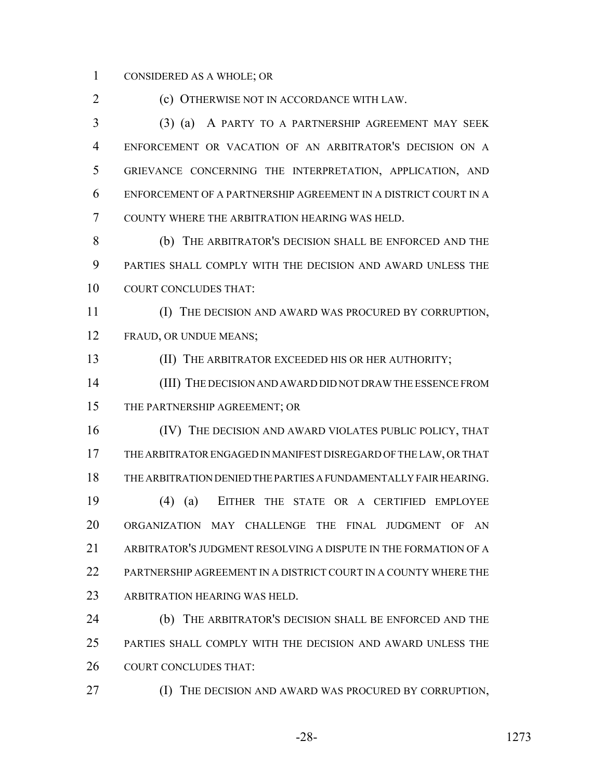#### CONSIDERED AS A WHOLE; OR

(c) OTHERWISE NOT IN ACCORDANCE WITH LAW.

 (3) (a) A PARTY TO A PARTNERSHIP AGREEMENT MAY SEEK ENFORCEMENT OR VACATION OF AN ARBITRATOR'S DECISION ON A GRIEVANCE CONCERNING THE INTERPRETATION, APPLICATION, AND ENFORCEMENT OF A PARTNERSHIP AGREEMENT IN A DISTRICT COURT IN A COUNTY WHERE THE ARBITRATION HEARING WAS HELD.

 (b) THE ARBITRATOR'S DECISION SHALL BE ENFORCED AND THE PARTIES SHALL COMPLY WITH THE DECISION AND AWARD UNLESS THE COURT CONCLUDES THAT:

 (I) THE DECISION AND AWARD WAS PROCURED BY CORRUPTION, FRAUD, OR UNDUE MEANS;

(II) THE ARBITRATOR EXCEEDED HIS OR HER AUTHORITY;

 (III) THE DECISION AND AWARD DID NOT DRAW THE ESSENCE FROM THE PARTNERSHIP AGREEMENT; OR

 (IV) THE DECISION AND AWARD VIOLATES PUBLIC POLICY, THAT THE ARBITRATOR ENGAGED IN MANIFEST DISREGARD OF THE LAW, OR THAT THE ARBITRATION DENIED THE PARTIES A FUNDAMENTALLY FAIR HEARING. (4) (a) EITHER THE STATE OR A CERTIFIED EMPLOYEE ORGANIZATION MAY CHALLENGE THE FINAL JUDGMENT OF AN

 ARBITRATOR'S JUDGMENT RESOLVING A DISPUTE IN THE FORMATION OF A 22 PARTNERSHIP AGREEMENT IN A DISTRICT COURT IN A COUNTY WHERE THE ARBITRATION HEARING WAS HELD.

 (b) THE ARBITRATOR'S DECISION SHALL BE ENFORCED AND THE PARTIES SHALL COMPLY WITH THE DECISION AND AWARD UNLESS THE COURT CONCLUDES THAT:

(I) THE DECISION AND AWARD WAS PROCURED BY CORRUPTION,

-28- 1273